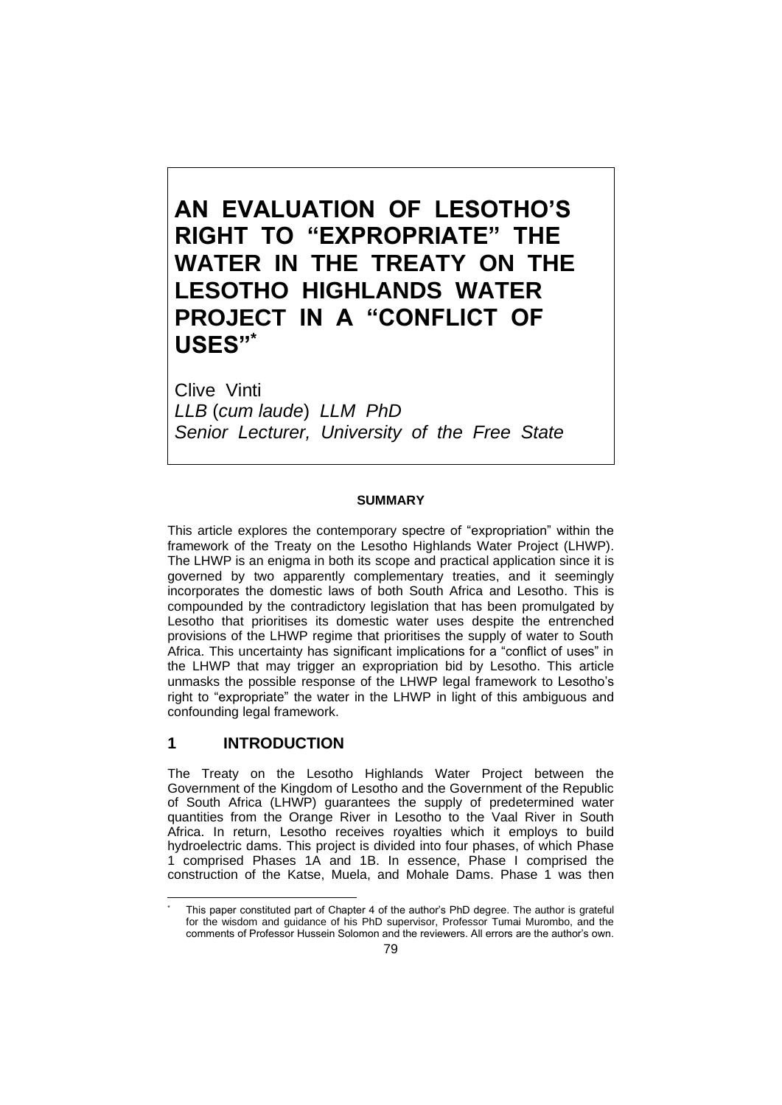# **AN EVALUATION OF LESOTHO'S RIGHT TO "EXPROPRIATE" THE WATER IN THE TREATY ON THE LESOTHO HIGHLANDS WATER PROJECT IN A "CONFLICT OF USES"\***

Clive Vinti *LLB* (*cum laude*) *LLM PhD Senior Lecturer, University of the Free State*

#### **SUMMARY**

This article explores the contemporary spectre of "expropriation" within the framework of the Treaty on the Lesotho Highlands Water Project (LHWP). The LHWP is an enigma in both its scope and practical application since it is governed by two apparently complementary treaties, and it seemingly incorporates the domestic laws of both South Africa and Lesotho. This is compounded by the contradictory legislation that has been promulgated by Lesotho that prioritises its domestic water uses despite the entrenched provisions of the LHWP regime that prioritises the supply of water to South Africa. This uncertainty has significant implications for a "conflict of uses" in the LHWP that may trigger an expropriation bid by Lesotho. This article unmasks the possible response of the LHWP legal framework to Lesotho's right to "expropriate" the water in the LHWP in light of this ambiguous and confounding legal framework.

# **1 INTRODUCTION**

The Treaty on the Lesotho Highlands Water Project between the Government of the Kingdom of Lesotho and the Government of the Republic of South Africa (LHWP) guarantees the supply of predetermined water quantities from the Orange River in Lesotho to the Vaal River in South Africa. In return, Lesotho receives royalties which it employs to build hydroelectric dams. This project is divided into four phases, of which Phase 1 comprised Phases 1A and 1B. In essence, Phase I comprised the construction of the Katse, Muela, and Mohale Dams. Phase 1 was then

This paper constituted part of Chapter 4 of the author's PhD degree. The author is grateful for the wisdom and guidance of his PhD supervisor, Professor Tumai Murombo, and the comments of Professor Hussein Solomon and the reviewers. All errors are the author's own.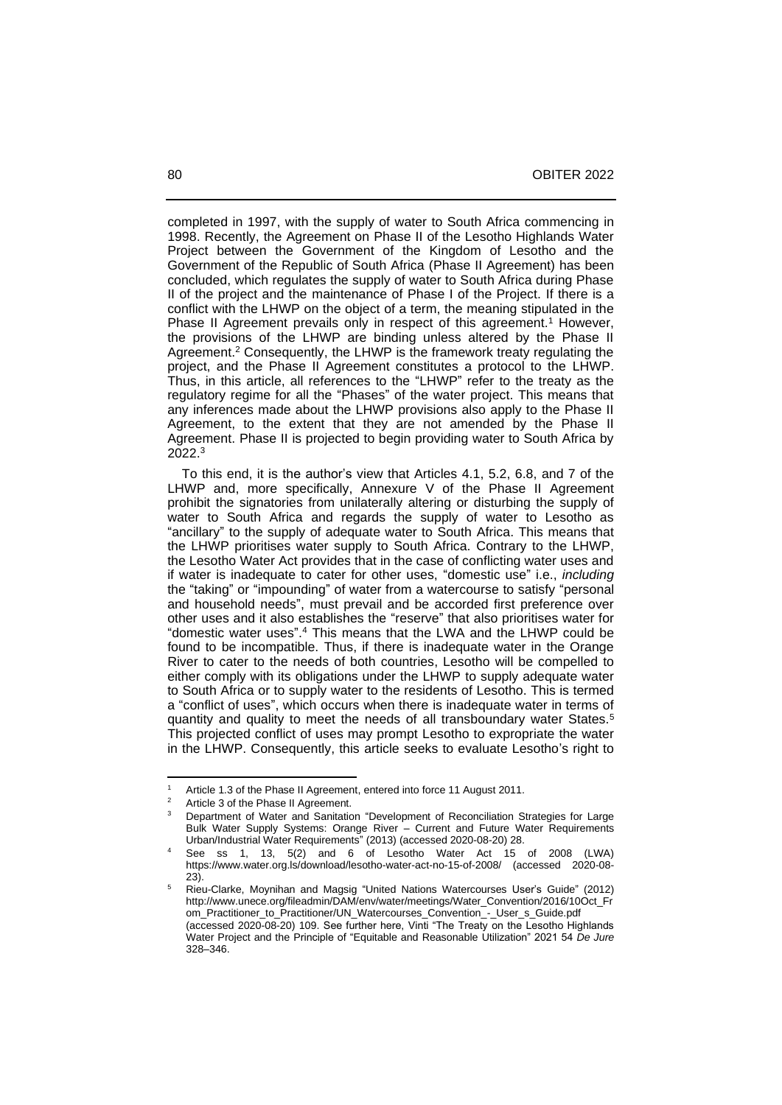completed in 1997, with the supply of water to South Africa commencing in 1998. Recently, the Agreement on Phase II of the Lesotho Highlands Water Project between the Government of the Kingdom of Lesotho and the Government of the Republic of South Africa (Phase II Agreement) has been concluded, which regulates the supply of water to South Africa during Phase II of the project and the maintenance of Phase I of the Project. If there is a conflict with the LHWP on the object of a term, the meaning stipulated in the Phase II Agreement prevails only in respect of this agreement.<sup>1</sup> However, the provisions of the LHWP are binding unless altered by the Phase II Agreement.<sup>2</sup> Consequently, the LHWP is the framework treaty regulating the project, and the Phase II Agreement constitutes a protocol to the LHWP. Thus, in this article, all references to the "LHWP" refer to the treaty as the regulatory regime for all the "Phases" of the water project. This means that any inferences made about the LHWP provisions also apply to the Phase II Agreement, to the extent that they are not amended by the Phase II Agreement. Phase II is projected to begin providing water to South Africa by 2022.<sup>3</sup>

 To this end, it is the author's view that Articles 4.1, 5.2, 6.8, and 7 of the LHWP and, more specifically, Annexure V of the Phase II Agreement prohibit the signatories from unilaterally altering or disturbing the supply of water to South Africa and regards the supply of water to Lesotho as "ancillary" to the supply of adequate water to South Africa. This means that the LHWP prioritises water supply to South Africa. Contrary to the LHWP, the Lesotho Water Act provides that in the case of conflicting water uses and if water is inadequate to cater for other uses, "domestic use" i.e., *including* the "taking" or "impounding" of water from a watercourse to satisfy "personal and household needs", must prevail and be accorded first preference over other uses and it also establishes the "reserve" that also prioritises water for "domestic water uses". <sup>4</sup> This means that the LWA and the LHWP could be found to be incompatible. Thus, if there is inadequate water in the Orange River to cater to the needs of both countries, Lesotho will be compelled to either comply with its obligations under the LHWP to supply adequate water to South Africa or to supply water to the residents of Lesotho. This is termed a "conflict of uses", which occurs when there is inadequate water in terms of quantity and quality to meet the needs of all transboundary water States.<sup>5</sup> This projected conflict of uses may prompt Lesotho to expropriate the water in the LHWP. Consequently, this article seeks to evaluate Lesotho's right to

<sup>&</sup>lt;sup>1</sup> Article 1.3 of the Phase II Agreement, entered into force 11 August 2011.

<sup>&</sup>lt;sup>2</sup> Article 3 of the Phase II Agreement.<br><sup>3</sup> Penertment of Water and Sepitation

<sup>3</sup> Department of Water and Sanitation "Development of Reconciliation Strategies for Large Bulk Water Supply Systems: Orange River - Current and Future Water Requirements Urban/Industrial Water Requirements" (2013) (accessed 2020-08-20) 28.

 $4$  See ss 1, 13, 5(2) and 6 of Lesotho Water Act 15 of 2008 (LWA) <https://www.water.org.ls/download/lesotho-water-act-no-15-of-2008/> (accessed 2020-08- 23).

<sup>5</sup> Rieu-Clarke, Moynihan and Magsig "United Nations Watercourses User's Guide" (2012) [http://www.unece.org/fileadmin/DAM/env/water/meetings/Water\\_Convention/2016/10Oct\\_Fr](http://www.unece.org/fileadmin/DAM/env/water/meetings/Water_Convention/2016/10Oct_From_Practitioner_to_Practitioner/UN_Watercourses_Convention_-_User_s_Guide.pdf) [om\\_Practitioner\\_to\\_Practitioner/UN\\_Watercourses\\_Convention\\_-\\_User\\_s\\_Guide.pdf](http://www.unece.org/fileadmin/DAM/env/water/meetings/Water_Convention/2016/10Oct_From_Practitioner_to_Practitioner/UN_Watercourses_Convention_-_User_s_Guide.pdf) (accessed 2020-08-20) 109. See further here, Vinti "The Treaty on the Lesotho Highlands Water Project and the Principle of "Equitable and Reasonable Utilization" 2021 54 *De Jure* 328‒346.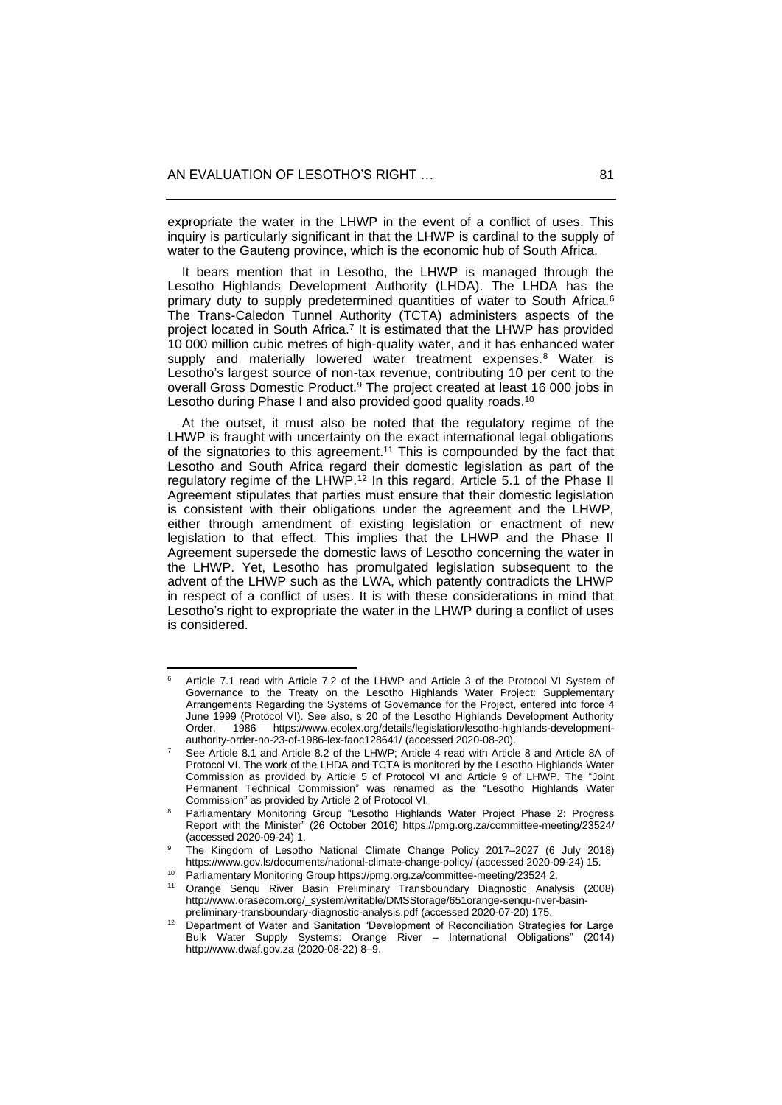expropriate the water in the LHWP in the event of a conflict of uses. This inquiry is particularly significant in that the LHWP is cardinal to the supply of water to the Gauteng province, which is the economic hub of South Africa.

 It bears mention that in Lesotho, the LHWP is managed through the Lesotho Highlands Development Authority (LHDA). The LHDA has the primary duty to supply predetermined quantities of water to South Africa.<sup>6</sup> The Trans-Caledon Tunnel Authority (TCTA) administers aspects of the project located in South Africa.<sup>7</sup> It is estimated that the LHWP has provided 10 000 million cubic metres of high-quality water, and it has enhanced water supply and materially lowered water treatment expenses.<sup>8</sup> Water is Lesotho's largest source of non-tax revenue, contributing 10 per cent to the overall Gross Domestic Product.<sup>9</sup> The project created at least 16 000 jobs in Lesotho during Phase I and also provided good quality roads.<sup>10</sup>

 At the outset, it must also be noted that the regulatory regime of the LHWP is fraught with uncertainty on the exact international legal obligations of the signatories to this agreement. <sup>11</sup> This is compounded by the fact that Lesotho and South Africa regard their domestic legislation as part of the regulatory regime of the LHWP.<sup>12</sup> In this regard, Article 5.1 of the Phase II Agreement stipulates that parties must ensure that their domestic legislation is consistent with their obligations under the agreement and the LHWP, either through amendment of existing legislation or enactment of new legislation to that effect. This implies that the LHWP and the Phase II Agreement supersede the domestic laws of Lesotho concerning the water in the LHWP. Yet, Lesotho has promulgated legislation subsequent to the advent of the LHWP such as the LWA, which patently contradicts the LHWP in respect of a conflict of uses. It is with these considerations in mind that Lesotho's right to expropriate the water in the LHWP during a conflict of uses is considered.

<sup>6</sup> Article 7.1 read with Article 7.2 of the LHWP and Article 3 of the Protocol VI System of Governance to the Treaty on the Lesotho Highlands Water Project: Supplementary Arrangements Regarding the Systems of Governance for the Project, entered into force 4 June 1999 (Protocol VI). See also, s 20 of the Lesotho Highlands Development Authority<br>Order. 1986 https://www.ecolex.org/details/legislation/lesotho-highlands-development1986 [https://www.ecolex.org/details/legislation/lesotho-highlands-development](https://www.ecolex.org/details/legislation/lesotho-highlands-development-authority-order-no-23-of-1986-lex-faoc128641/)[authority-order-no-23-of-1986-lex-faoc128641/](https://www.ecolex.org/details/legislation/lesotho-highlands-development-authority-order-no-23-of-1986-lex-faoc128641/) (accessed 2020-08-20).

<sup>7</sup> See Article 8.1 and Article 8.2 of the LHWP; Article 4 read with Article 8 and Article 8A of Protocol VI. The work of the LHDA and TCTA is monitored by the Lesotho Highlands Water Commission as provided by Article 5 of Protocol VI and Article 9 of LHWP. The "Joint Permanent Technical Commission" was renamed as the "Lesotho Highlands Water Commission" as provided by Article 2 of Protocol VI.

<sup>&</sup>lt;sup>8</sup> Parliamentary Monitoring Group "Lesotho Highlands Water Project Phase 2: Progress Report with the Minister" (26 October 2016)<https://pmg.org.za/committee-meeting/23524/> (accessed 2020-09-24) 1.

<sup>9</sup> The Kingdom of Lesotho National Climate Change Policy 2017–2027 (6 July 2018) <https://www.gov.ls/documents/national-climate-change-policy/> (accessed 2020-09-24) 15.

<sup>10</sup> Parliamentary Monitoring Grou[p https://pmg.org.za/committee-meeting/23524](https://pmg.org.za/committee-meeting/23524) 2.

<sup>11</sup> Orange Senqu River Basin Preliminary Transboundary Diagnostic Analysis (2008) [http://www.orasecom.org/\\_system/writable/DMSStorage/651orange-senqu-river-basin](http://www.orasecom.org/_system/writable/DMSStorage/651orange-senqu-river-basin-preliminary-transboundary-diagnostic-analysis.pdf)[preliminary-transboundary-diagnostic-analysis.pdf](http://www.orasecom.org/_system/writable/DMSStorage/651orange-senqu-river-basin-preliminary-transboundary-diagnostic-analysis.pdf) (accessed 2020-07-20) 175.

<sup>&</sup>lt;sup>12</sup> Department of Water and Sanitation "Development of Reconciliation Strategies for Large Bulk Water Supply Systems: Orange River – International Obligations" (2014) [http://www.dwaf.gov.za](http://www.dwaf.gov.za/) (2020-08-22) 8‒9.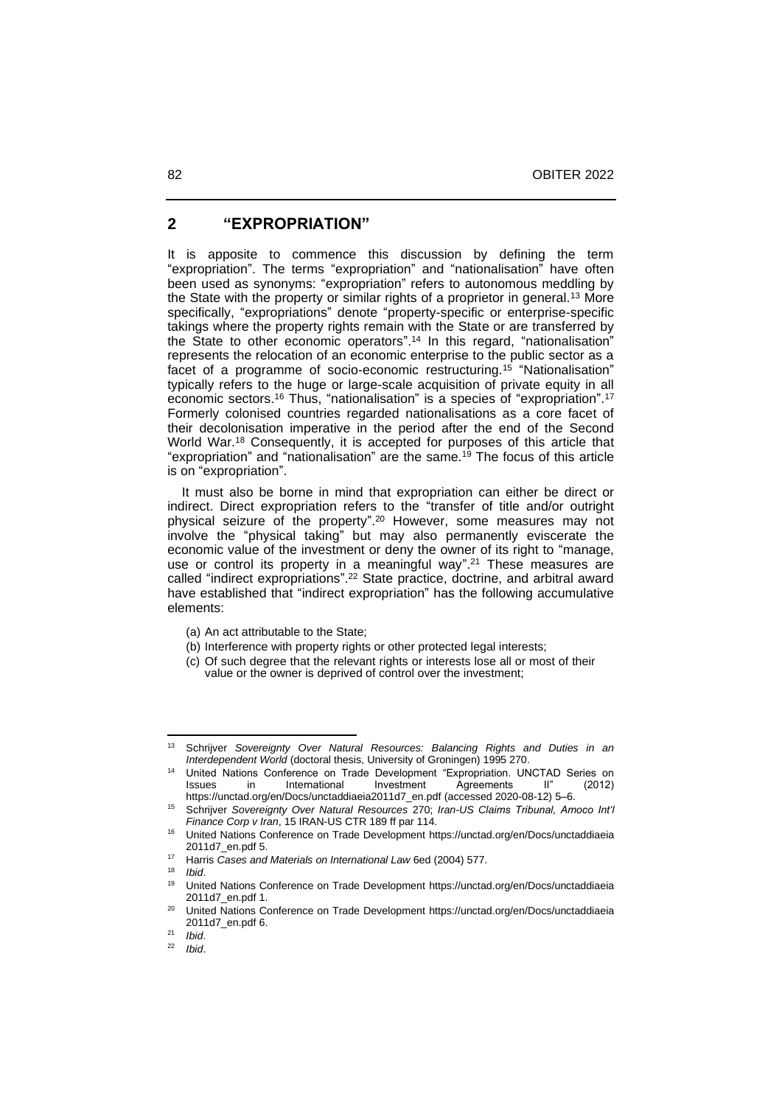### **2 "EXPROPRIATION"**

It is apposite to commence this discussion by defining the term "expropriation". The terms "expropriation" and "nationalisation" have often been used as synonyms: "expropriation" refers to autonomous meddling by the State with the property or similar rights of a proprietor in general.<sup>13</sup> More specifically, "expropriations" denote "property-specific or enterprise-specific takings where the property rights remain with the State or are transferred by the State to other economic operators". <sup>14</sup> In this regard, "nationalisation" represents the relocation of an economic enterprise to the public sector as a facet of a programme of socio-economic restructuring.<sup>15</sup> "Nationalisation" typically refers to the huge or large-scale acquisition of private equity in all economic sectors.<sup>16</sup> Thus, "nationalisation" is a species of "expropriation". 17 Formerly colonised countries regarded nationalisations as a core facet of their decolonisation imperative in the period after the end of the Second World War.<sup>18</sup> Consequently, it is accepted for purposes of this article that "expropriation" and "nationalisation" are the same.<sup>19</sup> The focus of this article is on "expropriation".

 It must also be borne in mind that expropriation can either be direct or indirect. Direct expropriation refers to the "transfer of title and/or outright physical seizure of the property". <sup>20</sup> However, some measures may not involve the "physical taking" but may also permanently eviscerate the economic value of the investment or deny the owner of its right to "manage, use or control its property in a meaningful way". <sup>21</sup> These measures are called "indirect expropriations". <sup>22</sup> State practice, doctrine, and arbitral award have established that "indirect expropriation" has the following accumulative elements:

- (a) An act attributable to the State;
- (b) Interference with property rights or other protected legal interests;
- (c) Of such degree that the relevant rights or interests lose all or most of their value or the owner is deprived of control over the investment;

<sup>13</sup> Schrijver *Sovereignty Over Natural Resources: Balancing Rights and Duties in an Interdependent World* (doctoral thesis, University of Groningen) 1995 270.

United Nations Conference on Trade Development "Expropriation. UNCTAD Series on Issues in International Investment Agreements II" (2012) Issues in International Investment Agreements II" (2012) [https://unctad.org/en/Docs/unctaddiaeia2011d7\\_en.pdf](https://unctad.org/en/Docs/unctaddiaeia2011d7_en.pdf) (accessed 2020-08-12) 5‒6.

<sup>15</sup> Schrijver *Sovereignty Over Natural Resources* 270; *Iran-US Claims Tribunal, Amoco Int'l Finance Corp v Iran*, 15 IRAN-US CTR 189 ff par 114.

<sup>16</sup> United Nations Conference on Trade Development [https://unctad.org/en/Docs/unctaddiaeia](https://unctad.org/en/Docs/unctaddiaeia%202011d7_en.pdf)  [2011d7\\_en.pdf](https://unctad.org/en/Docs/unctaddiaeia%202011d7_en.pdf) 5.

<sup>17</sup> Harris *Cases and Materials on International Law* 6ed (2004) 577.

 $18$  *Ibid.*<br> $19$  *I Inite* 

<sup>19</sup> United Nations Conference on Trade Development [https://unctad.org/en/Docs/unctaddiaeia](https://unctad.org/en/Docs/unctaddiaeia%202011d7_en.pdf)  [2011d7\\_en.pdf](https://unctad.org/en/Docs/unctaddiaeia%202011d7_en.pdf) 1.

<sup>&</sup>lt;sup>20</sup> United Nations Conference on Trade Development https://unctad.org/en/Docs/unctaddiaeia [2011d7\\_en.pdf](https://unctad.org/en/Docs/unctaddiaeia%202011d7_en.pdf) 6.

 $\frac{21}{22}$  *Ibid.* 

<sup>22</sup> *Ibid*.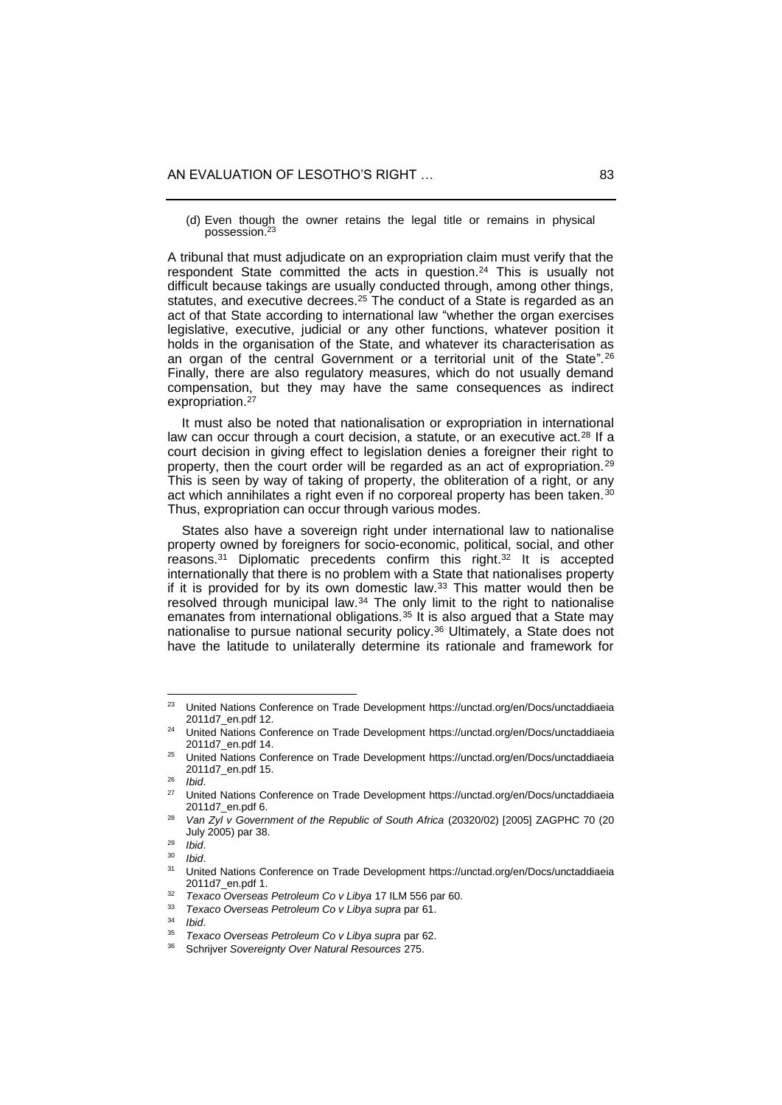(d) Even though the owner retains the legal title or remains in physical possession.<sup>23</sup>

A tribunal that must adjudicate on an expropriation claim must verify that the respondent State committed the acts in question.<sup>24</sup> This is usually not difficult because takings are usually conducted through, among other things, statutes, and executive decrees.<sup>25</sup> The conduct of a State is regarded as an act of that State according to international law "whether the organ exercises legislative, executive, judicial or any other functions, whatever position it holds in the organisation of the State, and whatever its characterisation as an organ of the central Government or a territorial unit of the State"*.* 26 Finally, there are also regulatory measures, which do not usually demand compensation, but they may have the same consequences as indirect expropriation.<sup>27</sup>

 It must also be noted that nationalisation or expropriation in international law can occur through a court decision, a statute, or an executive act.<sup>28</sup> If a court decision in giving effect to legislation denies a foreigner their right to property, then the court order will be regarded as an act of expropriation.<sup>29</sup> This is seen by way of taking of property, the obliteration of a right, or any act which annihilates a right even if no corporeal property has been taken.<sup>30</sup> Thus, expropriation can occur through various modes.

 States also have a sovereign right under international law to nationalise property owned by foreigners for socio-economic, political, social, and other reasons.<sup>31</sup> Diplomatic precedents confirm this right. <sup>32</sup> It is accepted internationally that there is no problem with a State that nationalises property if it is provided for by its own domestic law.<sup>33</sup> This matter would then be resolved through municipal law.<sup>34</sup> The only limit to the right to nationalise emanates from international obligations.<sup>35</sup> It is also argued that a State may nationalise to pursue national security policy.<sup>36</sup> Ultimately, a State does not have the latitude to unilaterally determine its rationale and framework for

<sup>&</sup>lt;sup>23</sup> United Nations Conference on Trade Development https://unctad.org/en/Docs/unctaddiaeia [2011d7\\_en.pdf](https://unctad.org/en/Docs/unctaddiaeia%202011d7_en.pdf) 12.

<sup>24</sup> United Nations Conference on Trade Development [https://unctad.org/en/Docs/unctaddiaeia](https://unctad.org/en/Docs/unctaddiaeia%202011d7_en.pdf)  [2011d7\\_en.pdf](https://unctad.org/en/Docs/unctaddiaeia%202011d7_en.pdf) 14.

<sup>&</sup>lt;sup>25</sup> United Nations Conference on Trade Development https://unctad.org/en/Docs/unctaddiaeia [2011d7\\_en.pdf](https://unctad.org/en/Docs/unctaddiaeia%202011d7_en.pdf) 15.

 $^{26}$  *Ibid.*<br> $^{27}$  *Ibite* 

United Nations Conference on Trade Development https://unctad.org/en/Docs/unctaddiaeia [2011d7\\_en.pdf](https://unctad.org/en/Docs/unctaddiaeia%202011d7_en.pdf) 6.

<sup>28</sup> *Van Zyl v Government of the Republic of South Africa* (20320/02) [2005] ZAGPHC 70 (20 July 2005) par 38.

<sup>29</sup> *Ibid*.

<sup>30</sup> *Ibid*.

<sup>31</sup> United Nations Conference on Trade Development [https://unctad.org/en/Docs/unctaddiaeia](https://unctad.org/en/Docs/unctaddiaeia%202011d7_en.pdf)  [2011d7\\_en.pdf](https://unctad.org/en/Docs/unctaddiaeia%202011d7_en.pdf) 1.

<sup>32</sup> *Texaco Overseas Petroleum Co v Libya* 17 ILM 556 par 60.

<sup>33</sup> *Texaco Overseas Petroleum Co v Libya supra* par 61.

<sup>34</sup> *Ibid*.

<sup>35</sup> *Texaco Overseas Petroleum Co v Libya supra* par 62.

<sup>36</sup> Schrijver *Sovereignty Over Natural Resources* 275.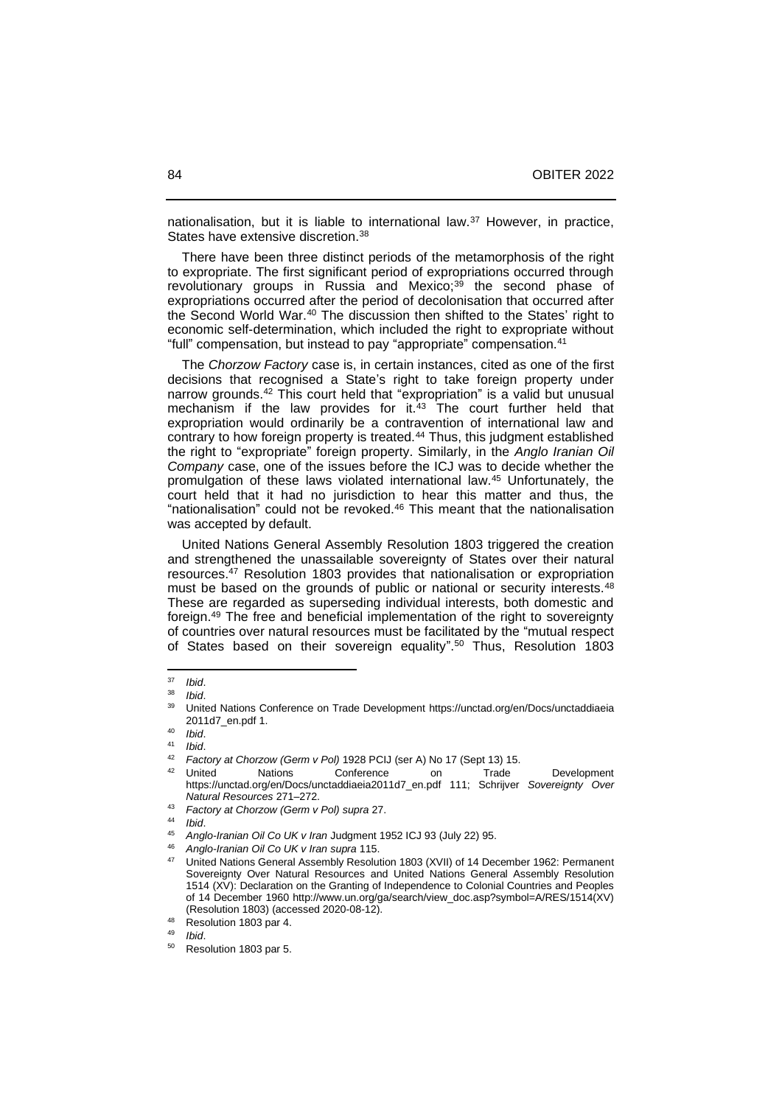nationalisation, but it is liable to international law.<sup>37</sup> However, in practice, States have extensive discretion.<sup>38</sup>

 There have been three distinct periods of the metamorphosis of the right to expropriate. The first significant period of expropriations occurred through revolutionary groups in Russia and Mexico;<sup>39</sup> the second phase of expropriations occurred after the period of decolonisation that occurred after the Second World War.<sup>40</sup> The discussion then shifted to the States' right to economic self-determination, which included the right to expropriate without "full" compensation, but instead to pay "appropriate" compensation.<sup>41</sup>

 The *Chorzow Factory* case is, in certain instances, cited as one of the first decisions that recognised a State's right to take foreign property under narrow grounds.<sup>42</sup> This court held that "expropriation" is a valid but unusual mechanism if the law provides for it.<sup>43</sup> The court further held that expropriation would ordinarily be a contravention of international law and contrary to how foreign property is treated.<sup>44</sup> Thus, this judgment established the right to "expropriate" foreign property. Similarly, in the *Anglo Iranian Oil Company* case, one of the issues before the ICJ was to decide whether the promulgation of these laws violated international law.<sup>45</sup> Unfortunately, the court held that it had no jurisdiction to hear this matter and thus, the "nationalisation" could not be revoked.<sup>46</sup> This meant that the nationalisation was accepted by default.

 United Nations General Assembly Resolution 1803 triggered the creation and strengthened the unassailable sovereignty of States over their natural resources.<sup>47</sup> Resolution 1803 provides that nationalisation or expropriation must be based on the grounds of public or national or security interests.<sup>48</sup> These are regarded as superseding individual interests, both domestic and foreign.<sup>49</sup> The free and beneficial implementation of the right to sovereignty of countries over natural resources must be facilitated by the "mutual respect of States based on their sovereign equality". <sup>50</sup> Thus, Resolution 1803

<sup>37</sup> *Ibid*.

<sup>38</sup> *Ibid*.

<sup>39</sup> United Nations Conference on Trade Development [https://unctad.org/en/Docs/unctaddiaeia](https://unctad.org/en/Docs/unctaddiaeia%202011d7_en.pdf)  [2011d7\\_en.pdf](https://unctad.org/en/Docs/unctaddiaeia%202011d7_en.pdf) 1.

<sup>40</sup> *Ibid*.

 $41$  *Ibid.*<br> $42$  Foot

<sup>42</sup> *Factory at Chorzow (Germ v Pol)* 1928 PCIJ (ser A) No 17 (Sept 13) 15.

<sup>&</sup>lt;sup>42</sup> United Nations Conference on Trade Development [https://unctad.org/en/Docs/unctaddiaeia2011d7\\_en.pdf](https://unctad.org/en/Docs/unctaddiaeia2011d7_en.pdf) 111; Schrijver *Sovereignty Over Natural Resources* 271‒272.

<sup>43</sup> *Factory at Chorzow (Germ v Pol) supra* 27.

<sup>44</sup> *Ibid*.

<sup>45</sup> *Anglo-Iranian Oil Co UK v Iran* Judgment 1952 ICJ 93 (July 22) 95.

<sup>46</sup> *Anglo-Iranian Oil Co UK v Iran supra* 115.

<sup>47</sup> United Nations General Assembly Resolution 1803 (XVII) of 14 December 1962: Permanent Sovereignty Over Natural Resources and United Nations General Assembly Resolution 1514 (XV): Declaration on the Granting of Independence to Colonial Countries and Peoples of 14 December 1960 [http://www.un.org/ga/search/view\\_doc.asp?symbol=A/RES/1514\(XV\)](http://www.un.org/ga/search/view_doc.asp?symbol=A/RES/1514(XV)) (Resolution 1803) (accessed 2020-08-12).

<sup>48</sup> Resolution 1803 par 4.

<sup>49</sup> *Ibid*.

Resolution 1803 par 5.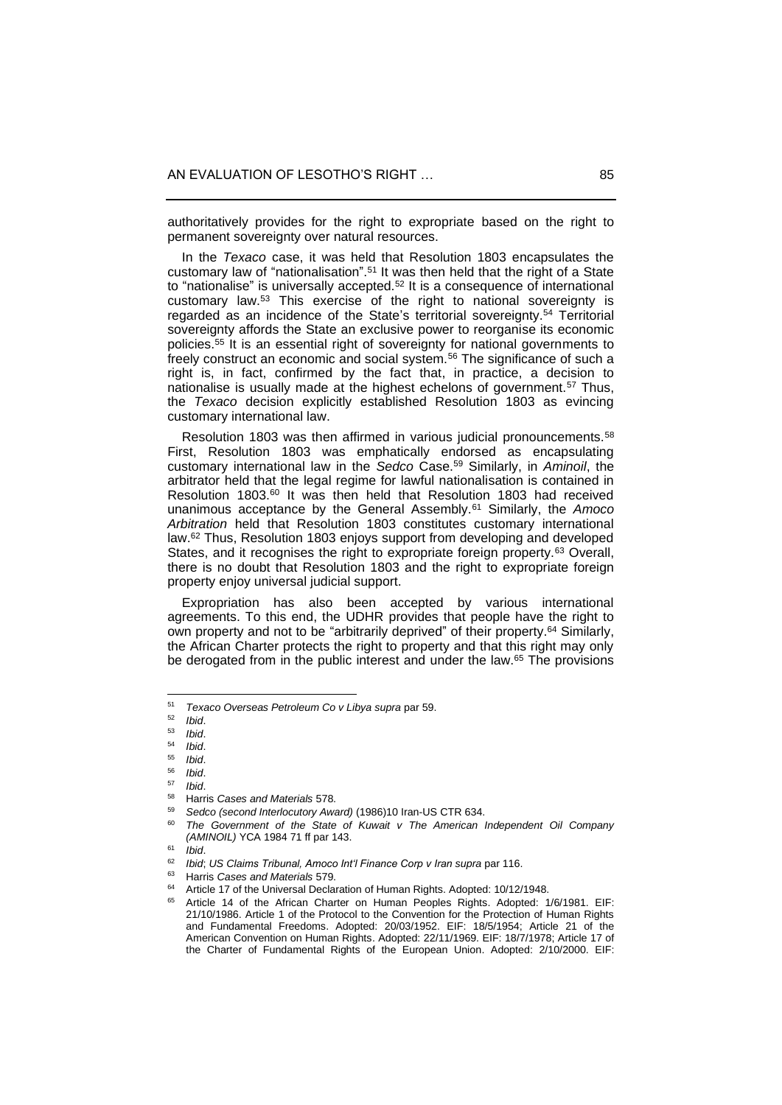authoritatively provides for the right to expropriate based on the right to permanent sovereignty over natural resources.

 In the *Texaco* case, it was held that Resolution 1803 encapsulates the customary law of "nationalisation". <sup>51</sup> It was then held that the right of a State to "nationalise" is universally accepted.<sup>52</sup> It is a consequence of international customary law.<sup>53</sup> This exercise of the right to national sovereignty is regarded as an incidence of the State's territorial sovereignty.<sup>54</sup> Territorial sovereignty affords the State an exclusive power to reorganise its economic policies.<sup>55</sup> It is an essential right of sovereignty for national governments to freely construct an economic and social system.<sup>56</sup> The significance of such a right is, in fact, confirmed by the fact that, in practice, a decision to nationalise is usually made at the highest echelons of government.<sup>57</sup> Thus, the *Texaco* decision explicitly established Resolution 1803 as evincing customary international law.

Resolution 1803 was then affirmed in various judicial pronouncements.<sup>58</sup> First, Resolution 1803 was emphatically endorsed as encapsulating customary international law in the *Sedco* Case.<sup>59</sup> Similarly, in *Aminoil*, the arbitrator held that the legal regime for lawful nationalisation is contained in Resolution 1803.<sup>60</sup> It was then held that Resolution 1803 had received unanimous acceptance by the General Assembly.<sup>61</sup> Similarly, the *Amoco Arbitration* held that Resolution 1803 constitutes customary international law.<sup>62</sup> Thus, Resolution 1803 enjoys support from developing and developed States, and it recognises the right to expropriate foreign property.<sup>63</sup> Overall, there is no doubt that Resolution 1803 and the right to expropriate foreign property enjoy universal judicial support.

 Expropriation has also been accepted by various international agreements. To this end, the UDHR provides that people have the right to own property and not to be "arbitrarily deprived" of their property.<sup>64</sup> Similarly, the African Charter protects the right to property and that this right may only be derogated from in the public interest and under the law.<sup>65</sup> The provisions

<sup>51</sup> *Texaco Overseas Petroleum Co v Libya supra* par 59.

<sup>52</sup> *Ibid*.

<sup>53</sup> *Ibid*.

<sup>54</sup> *Ibid*.

<sup>55</sup> *Ibid*.

<sup>56</sup> *Ibid*.

<sup>57</sup> *Ibid*. <sup>58</sup> Harris *Cases and Materials* 578.

<sup>59</sup> *Sedco (second Interlocutory Award)* (1986)10 Iran-US CTR 634.

The Government of the State of Kuwait v The American Independent Oil Company *(AMINOIL)* YCA 1984 71 ff par 143.

<sup>61</sup> *Ibid*.

<sup>62</sup> *Ibid*; *US Claims Tribunal, Amoco Int'l Finance Corp v Iran supra* par 116.

<sup>63</sup> Harris *Cases and Materials* 579.

Article 17 of the Universal Declaration of Human Rights. Adopted: 10/12/1948.

<sup>65</sup> Article 14 of the African Charter on Human Peoples Rights. Adopted: 1/6/1981. EIF: 21/10/1986. Article 1 of the Protocol to the Convention for the Protection of Human Rights and Fundamental Freedoms. Adopted: 20/03/1952. EIF: 18/5/1954; Article 21 of the American Convention on Human Rights. Adopted: 22/11/1969. EIF: 18/7/1978; Article 17 of the Charter of Fundamental Rights of the European Union. Adopted: 2/10/2000. EIF: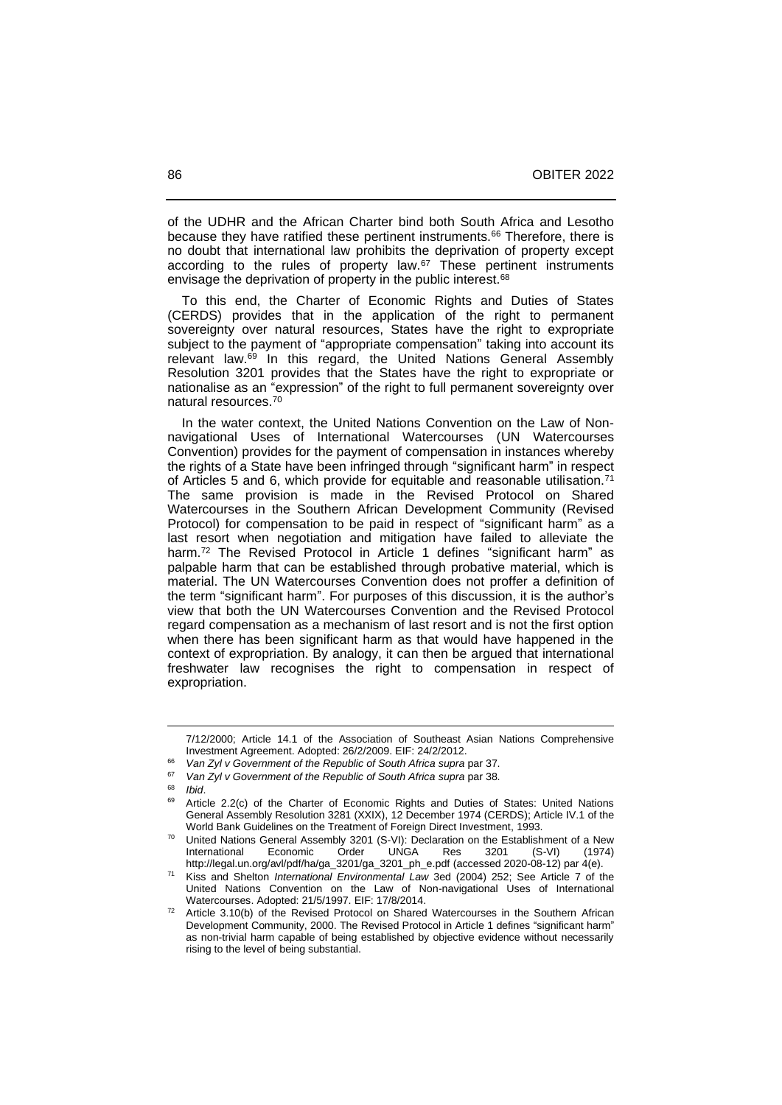of the UDHR and the African Charter bind both South Africa and Lesotho because they have ratified these pertinent instruments.<sup>66</sup> Therefore, there is no doubt that international law prohibits the deprivation of property except according to the rules of property law.<sup>67</sup> These pertinent instruments envisage the deprivation of property in the public interest.<sup>68</sup>

 To this end, the Charter of Economic Rights and Duties of States (CERDS) provides that in the application of the right to permanent sovereignty over natural resources, States have the right to expropriate subject to the payment of "appropriate compensation" taking into account its relevant law.<sup>69</sup> In this regard, the United Nations General Assembly Resolution 3201 provides that the States have the right to expropriate or nationalise as an "expression" of the right to full permanent sovereignty over natural resources.<sup>70</sup>

 In the water context, the United Nations Convention on the Law of Nonnavigational Uses of International Watercourses (UN Watercourses Convention) provides for the payment of compensation in instances whereby the rights of a State have been infringed through "significant harm" in respect of Articles 5 and 6, which provide for equitable and reasonable utilisation.<sup>71</sup> The same provision is made in the Revised Protocol on Shared Watercourses in the Southern African Development Community (Revised Protocol) for compensation to be paid in respect of "significant harm" as a last resort when negotiation and mitigation have failed to alleviate the harm.<sup>72</sup> The Revised Protocol in Article 1 defines "significant harm" as palpable harm that can be established through probative material, which is material. The UN Watercourses Convention does not proffer a definition of the term "significant harm". For purposes of this discussion, it is the author's view that both the UN Watercourses Convention and the Revised Protocol regard compensation as a mechanism of last resort and is not the first option when there has been significant harm as that would have happened in the context of expropriation. By analogy, it can then be argued that international freshwater law recognises the right to compensation in respect of expropriation.

<sup>7/12/2000;</sup> Article 14.1 of the Association of Southeast Asian Nations Comprehensive Investment Agreement. Adopted: 26/2/2009. EIF: 24/2/2012.

<sup>66</sup> *Van Zyl v Government of the Republic of South Africa supra* par 37.

<sup>&</sup>lt;sup>67</sup> *Van Zyl v Government of the Republic of South Africa supra par 38.*<br><sup>68</sup>

<sup>68</sup> *Ibid*.

Article 2.2(c) of the Charter of Economic Rights and Duties of States: United Nations General Assembly Resolution 3281 (XXIX), 12 December 1974 (CERDS); Article IV.1 of the World Bank Guidelines on the Treatment of Foreign Direct Investment, 1993.

United Nations General Assembly 3201 (S-VI): Declaration on the Establishment of a New<br>International Economic Order UNGA Res 3201 (S-VI) (1974) International Economic [http://legal.un.org/avl/pdf/ha/ga\\_3201/ga\\_3201\\_ph\\_e.pdf](http://legal.un.org/avl/pdf/ha/ga_3201/ga_3201_ph_e.pdf) (accessed 2020-08-12) par 4(e).

<sup>71</sup> Kiss and Shelton *International Environmental Law* 3ed (2004) 252; See Article 7 of the United Nations Convention on the Law of Non-navigational Uses of International Watercourses. Adopted: 21/5/1997. EIF: 17/8/2014.

<sup>72</sup> Article 3.10(b) of the Revised Protocol on Shared Watercourses in the Southern African Development Community, 2000. The Revised Protocol in Article 1 defines "significant harm" as non-trivial harm capable of being established by objective evidence without necessarily rising to the level of being substantial.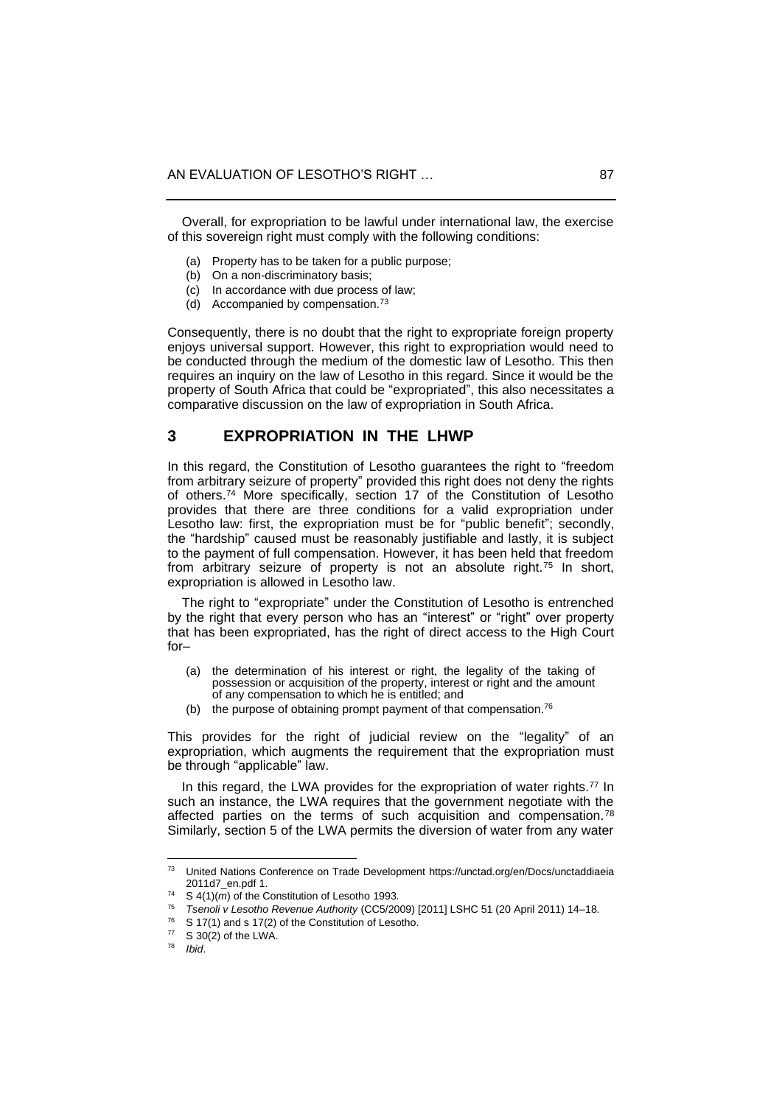Overall, for expropriation to be lawful under international law, the exercise of this sovereign right must comply with the following conditions:

- (a) Property has to be taken for a public purpose;
- (b) On a non-discriminatory basis;
- (c) In accordance with due process of law;
- (d) Accompanied by compensation.<sup>73</sup>

Consequently, there is no doubt that the right to expropriate foreign property enjoys universal support. However, this right to expropriation would need to be conducted through the medium of the domestic law of Lesotho. This then requires an inquiry on the law of Lesotho in this regard. Since it would be the property of South Africa that could be "expropriated", this also necessitates a comparative discussion on the law of expropriation in South Africa.

#### **3 EXPROPRIATION IN THE LHWP**

In this regard, the Constitution of Lesotho guarantees the right to "freedom from arbitrary seizure of property" provided this right does not deny the rights of others.<sup>74</sup> More specifically, section 17 of the Constitution of Lesotho provides that there are three conditions for a valid expropriation under Lesotho law: first, the expropriation must be for "public benefit"; secondly, the "hardship" caused must be reasonably justifiable and lastly, it is subject to the payment of full compensation. However, it has been held that freedom from arbitrary seizure of property is not an absolute right.<sup>75</sup> In short, expropriation is allowed in Lesotho law.

 The right to "expropriate" under the Constitution of Lesotho is entrenched by the right that every person who has an "interest" or "right" over property that has been expropriated, has the right of direct access to the High Court  $for-$ 

- (a) the determination of his interest or right, the legality of the taking of possession or acquisition of the property, interest or right and the amount of any compensation to which he is entitled; and
- (b) the purpose of obtaining prompt payment of that compensation. $76$

This provides for the right of judicial review on the "legality" of an expropriation, which augments the requirement that the expropriation must be through "applicable" law.

In this regard, the LWA provides for the expropriation of water rights.<sup>77</sup> In such an instance, the LWA requires that the government negotiate with the affected parties on the terms of such acquisition and compensation.<sup>78</sup> Similarly, section 5 of the LWA permits the diversion of water from any water

<sup>73</sup> United Nations Conference on Trade Development [https://unctad.org/en/Docs/unctaddiaeia](https://unctad.org/en/Docs/unctaddiaeia%202011d7_en.pdf)  [2011d7\\_en.pdf](https://unctad.org/en/Docs/unctaddiaeia%202011d7_en.pdf) 1.

<sup>&</sup>lt;sup>74</sup> S  $4(1)(m)$  of the Constitution of Lesotho 1993.

<sup>&</sup>lt;sup>75</sup> Tsenoli v Lesotho Revenue Authority (CC5/2009) [2011] LSHC 51 (20 April 2011) 14–18.

 $76$  S 17(1) and s 17(2) of the Constitution of Lesotho.

 $^{77}$  S 30(2) of the LWA.

*Ibid.*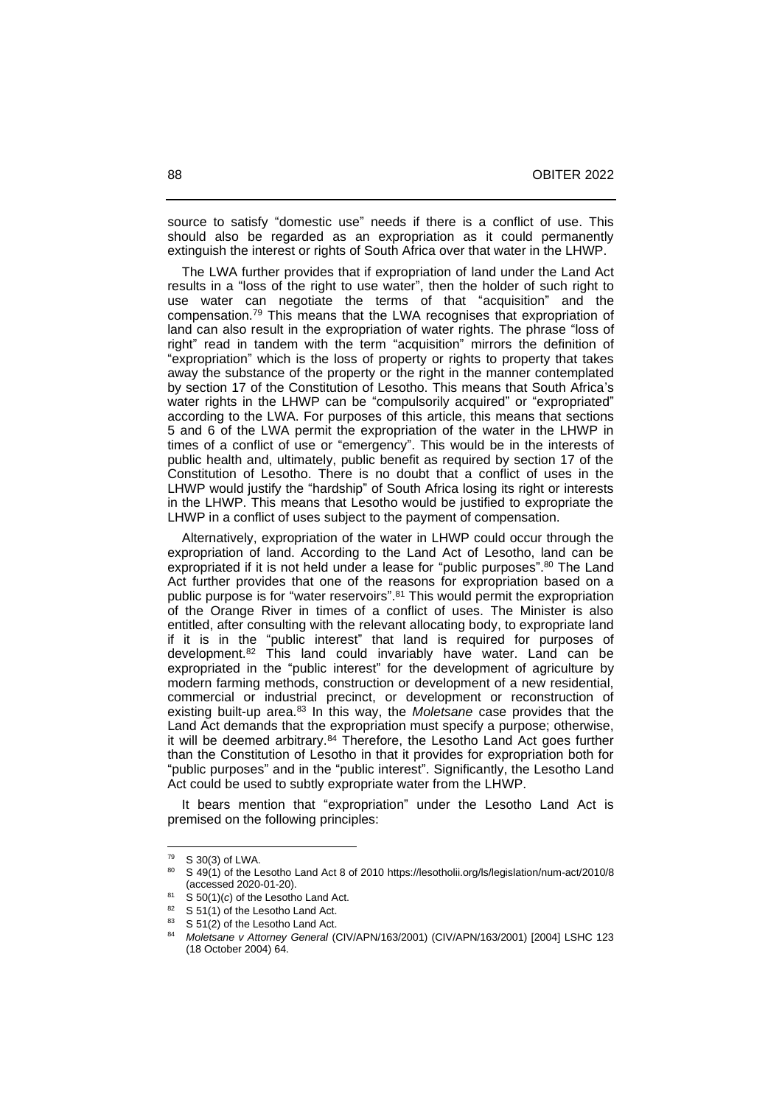source to satisfy "domestic use" needs if there is a conflict of use. This should also be regarded as an expropriation as it could permanently extinguish the interest or rights of South Africa over that water in the LHWP.

 The LWA further provides that if expropriation of land under the Land Act results in a "loss of the right to use water", then the holder of such right to use water can negotiate the terms of that "acquisition" and the compensation.<sup>79</sup> This means that the LWA recognises that expropriation of land can also result in the expropriation of water rights. The phrase "loss of right" read in tandem with the term "acquisition" mirrors the definition of "expropriation" which is the loss of property or rights to property that takes away the substance of the property or the right in the manner contemplated by section 17 of the Constitution of Lesotho. This means that South Africa's water rights in the LHWP can be "compulsorily acquired" or "expropriated" according to the LWA. For purposes of this article, this means that sections 5 and 6 of the LWA permit the expropriation of the water in the LHWP in times of a conflict of use or "emergency". This would be in the interests of public health and, ultimately, public benefit as required by section 17 of the Constitution of Lesotho. There is no doubt that a conflict of uses in the LHWP would justify the "hardship" of South Africa losing its right or interests in the LHWP. This means that Lesotho would be justified to expropriate the LHWP in a conflict of uses subject to the payment of compensation.

 Alternatively, expropriation of the water in LHWP could occur through the expropriation of land. According to the Land Act of Lesotho, land can be expropriated if it is not held under a lease for "public purposes". <sup>80</sup> The Land Act further provides that one of the reasons for expropriation based on a public purpose is for "water reservoirs". <sup>81</sup> This would permit the expropriation of the Orange River in times of a conflict of uses. The Minister is also entitled, after consulting with the relevant allocating body, to expropriate land if it is in the "public interest" that land is required for purposes of development.<sup>82</sup> This land could invariably have water. Land can be expropriated in the "public interest" for the development of agriculture by modern farming methods, construction or development of a new residential, commercial or industrial precinct, or development or reconstruction of existing built-up area.<sup>83</sup> In this way, the *Moletsane* case provides that the Land Act demands that the expropriation must specify a purpose; otherwise, it will be deemed arbitrary.<sup>84</sup> Therefore, the Lesotho Land Act goes further than the Constitution of Lesotho in that it provides for expropriation both for "public purposes" and in the "public interest". Significantly, the Lesotho Land Act could be used to subtly expropriate water from the LHWP.

 It bears mention that "expropriation" under the Lesotho Land Act is premised on the following principles:

 $^{79}$  S 30(3) of LWA.<br><sup>80</sup> S 49(1) of the L

<sup>80</sup> S 49(1) of the Lesotho Land Act 8 of 2010<https://lesotholii.org/ls/legislation/num-act/2010/8> (accessed 2020-01-20).

<sup>81</sup> S 50(1)(*c*) of the Lesotho Land Act.

 $82 \quad S$  51(1) of the Lesotho Land Act.<br> $83 \quad S$  51(2) of the Lesotho Land Act.

S 51(2) of the Lesotho Land Act.

<sup>84</sup> *Moletsane v Attorney General* (CIV/APN/163/2001) (CIV/APN/163/2001) [2004] LSHC 123 (18 October 2004) 64.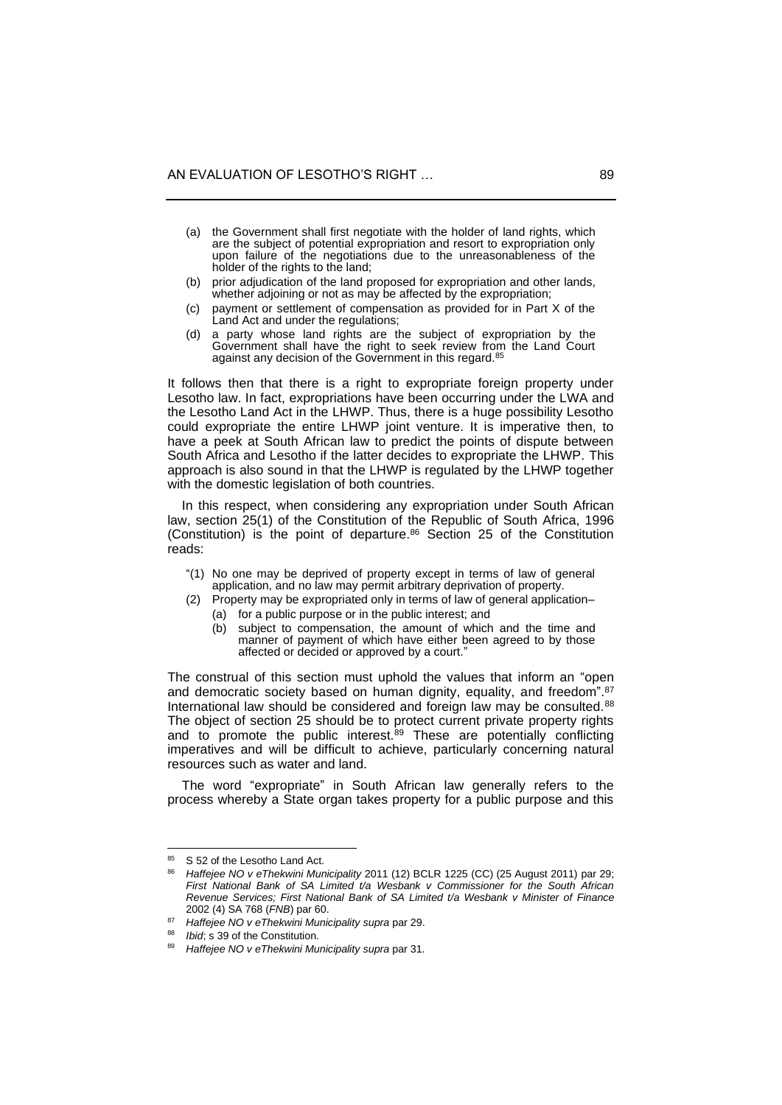- (a) the Government shall first negotiate with the holder of land rights, which are the subject of potential expropriation and resort to expropriation only upon failure of the negotiations due to the unreasonableness of the holder of the rights to the land;
- (b) prior adjudication of the land proposed for expropriation and other lands, whether adjoining or not as may be affected by the expropriation;
- (c) payment or settlement of compensation as provided for in Part X of the Land Act and under the regulations;
- (d) a party whose land rights are the subject of expropriation by the Government shall have the right to seek review from the Land Court against any decision of the Government in this regard.<sup>85</sup>

It follows then that there is a right to expropriate foreign property under Lesotho law. In fact, expropriations have been occurring under the LWA and the Lesotho Land Act in the LHWP. Thus, there is a huge possibility Lesotho could expropriate the entire LHWP joint venture. It is imperative then, to have a peek at South African law to predict the points of dispute between South Africa and Lesotho if the latter decides to expropriate the LHWP. This approach is also sound in that the LHWP is regulated by the LHWP together with the domestic legislation of both countries.

 In this respect, when considering any expropriation under South African law, section 25(1) of the Constitution of the Republic of South Africa, 1996 (Constitution) is the point of departure. <sup>86</sup> Section 25 of the Constitution reads:

- "(1) No one may be deprived of property except in terms of law of general application, and no law may permit arbitrary deprivation of property.
- (2) Property may be expropriated only in terms of law of general application-(a) for a public purpose or in the public interest; and
	- (b) subject to compensation, the amount of which and the time and manner of payment of which have either been agreed to by those affected or decided or approved by a court."

The construal of this section must uphold the values that inform an "open and democratic society based on human dignity, equality, and freedom".<sup>87</sup> International law should be considered and foreign law may be consulted.<sup>88</sup> The object of section 25 should be to protect current private property rights and to promote the public interest.<sup>89</sup> These are potentially conflicting imperatives and will be difficult to achieve, particularly concerning natural resources such as water and land.

 The word "expropriate" in South African law generally refers to the process whereby a State organ takes property for a public purpose and this

S 52 of the Lesotho Land Act.

<sup>86</sup> *Haffejee NO v eThekwini Municipality* 2011 (12) BCLR 1225 (CC) (25 August 2011) par 29; *First National Bank of SA Limited t/a Wesbank v Commissioner for the South African Revenue Services; First National Bank of SA Limited t/a Wesbank v Minister of Finance* 2002 (4) SA 768 (*FNB*) par 60.

<sup>87</sup> *Haffejee NO v eThekwini Municipality supra* par 29.

*Ibid*; s 39 of the Constitution.

<sup>89</sup> *Haffejee NO v eThekwini Municipality supra* par 31.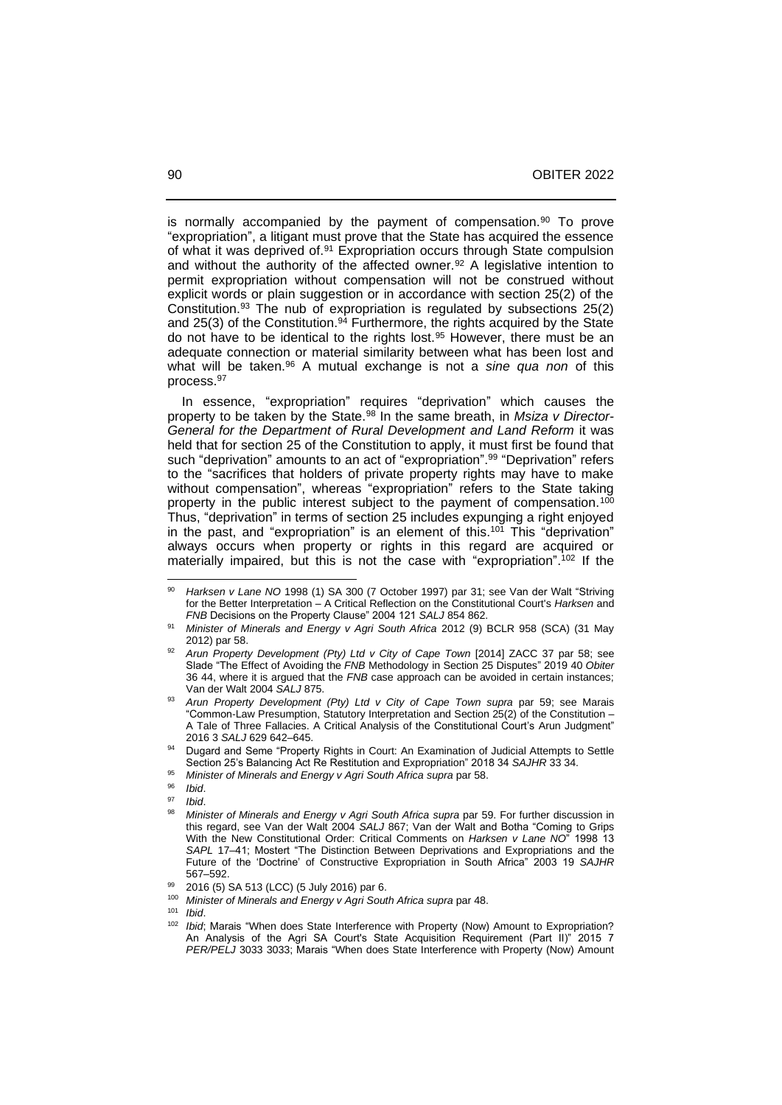is normally accompanied by the payment of compensation.<sup>90</sup> To prove "expropriation", a litigant must prove that the State has acquired the essence of what it was deprived of.<sup>91</sup> Expropriation occurs through State compulsion and without the authority of the affected owner.<sup>92</sup> A legislative intention to permit expropriation without compensation will not be construed without explicit words or plain suggestion or in accordance with section 25(2) of the Constitution.<sup>93</sup> The nub of expropriation is regulated by subsections 25(2) and 25(3) of the Constitution.<sup>94</sup> Furthermore, the rights acquired by the State do not have to be identical to the rights lost.<sup>95</sup> However, there must be an adequate connection or material similarity between what has been lost and what will be taken.<sup>96</sup> A mutual exchange is not a *sine qua non* of this process.<sup>97</sup>

 In essence, "expropriation" requires "deprivation" which causes the property to be taken by the State.<sup>98</sup> In the same breath, in *Msiza v Director-General for the Department of Rural Development and Land Reform* it was held that for section 25 of the Constitution to apply, it must first be found that such "deprivation" amounts to an act of "expropriation".<sup>99</sup> "Deprivation" refers to the "sacrifices that holders of private property rights may have to make without compensation", whereas "expropriation" refers to the State taking property in the public interest subject to the payment of compensation.<sup>100</sup> Thus, "deprivation" in terms of section 25 includes expunging a right enjoyed in the past, and "expropriation" is an element of this.<sup>101</sup> This "deprivation" always occurs when property or rights in this regard are acquired or materially impaired, but this is not the case with "expropriation". <sup>102</sup> If the

Harksen v Lane NO 1998 (1) SA 300 (7 October 1997) par 31; see Van der Walt "Striving for the Better Interpretation ‒ A Critical Reflection on the Constitutional Court's *Harksen* and *FNB* Decisions on the Property Clause" 2004 121 *SALJ* 854 862.

<sup>91</sup> *Minister of Minerals and Energy v Agri South Africa* 2012 (9) BCLR 958 (SCA) (31 May 2012) par 58.

<sup>92</sup> *Arun Property Development (Pty) Ltd v City of Cape Town* [2014] ZACC 37 par 58; see Slade "The Effect of Avoiding the *FNB* Methodology in Section 25 Disputes" 2019 40 *Obiter* 36 44, where it is argued that the *FNB* case approach can be avoided in certain instances; Van der Walt 2004 *SALJ* 875.

<sup>93</sup> *Arun Property Development (Pty) Ltd v City of Cape Town supra* par 59; see Marais "Common-Law Presumption, Statutory Interpretation and Section 25(2) of the Constitution ‒ A Tale of Three Fallacies. A Critical Analysis of the Constitutional Court's Arun Judgment" 2016 3 *SALJ* 629 642‒645.

Dugard and Seme "Property Rights in Court: An Examination of Judicial Attempts to Settle Section 25's Balancing Act Re Restitution and Expropriation" 2018 34 *SAJHR* 33 34.

<sup>95</sup> *Minister of Minerals and Energy v Agri South Africa supra* par 58.

<sup>96</sup> *Ibid*.

<sup>97</sup> *Ibid*.

<sup>98</sup> *Minister of Minerals and Energy v Agri South Africa supra* par 59. For further discussion in this regard, see Van der Walt 2004 *SALJ* 867; Van der Walt and Botha "Coming to Grips With the New Constitutional Order: Critical Comments on *Harksen v Lane NO*" 1998 13 SAPL 17-41; Mostert "The Distinction Between Deprivations and Expropriations and the Future of the 'Doctrine' of Constructive Expropriation in South Africa" 2003 19 *SAJHR* 567‒592.

<sup>99 2016 (5)</sup> SA 513 (LCC) (5 July 2016) par 6.<br>100 Minister of Minerals and Energy v Agri South

<sup>100</sup> *Minister of Minerals and Energy v Agri South Africa supra* par 48.

<sup>101</sup> *Ibid*.

<sup>102</sup> *Ibid*; Marais "When does State Interference with Property (Now) Amount to Expropriation? An Analysis of the Agri SA Court's State Acquisition Requirement (Part II)" 2015 7 *PER/PELJ* 3033 3033; Marais "When does State Interference with Property (Now) Amount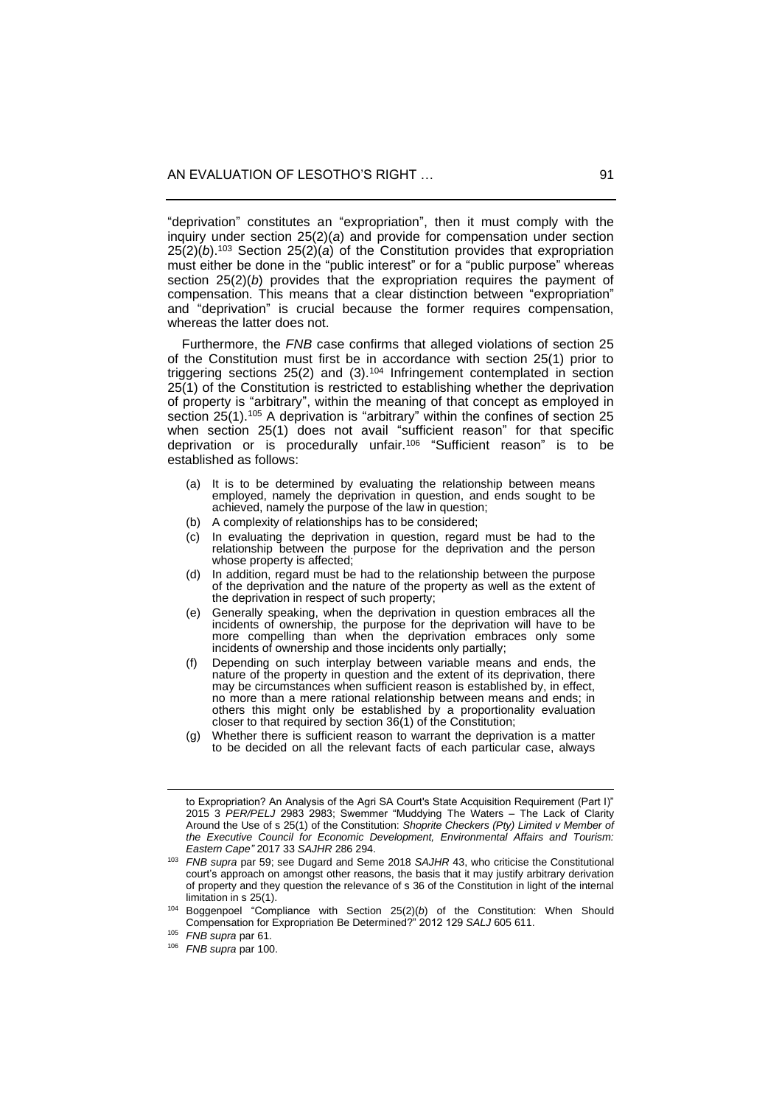"deprivation" constitutes an "expropriation", then it must comply with the inquiry under section 25(2)(*a*) and provide for compensation under section  $25(2)(b)$ .<sup>103</sup> Section  $25(2)(a)$  of the Constitution provides that expropriation must either be done in the "public interest" or for a "public purpose" whereas section 25(2)(*b*) provides that the expropriation requires the payment of compensation. This means that a clear distinction between "expropriation" and "deprivation" is crucial because the former requires compensation, whereas the latter does not.

 Furthermore, the *FNB* case confirms that alleged violations of section 25 of the Constitution must first be in accordance with section 25(1) prior to triggering sections 25(2) and (3).<sup>104</sup> Infringement contemplated in section 25(1) of the Constitution is restricted to establishing whether the deprivation of property is "arbitrary", within the meaning of that concept as employed in section 25(1).<sup>105</sup> A deprivation is "arbitrary" within the confines of section 25 when section 25(1) does not avail "sufficient reason" for that specific deprivation or is procedurally unfair.<sup>106</sup> "Sufficient reason" is to be established as follows:

- (a) It is to be determined by evaluating the relationship between means employed, namely the deprivation in question, and ends sought to be achieved, namely the purpose of the law in question;
- (b) A complexity of relationships has to be considered;
- (c) In evaluating the deprivation in question, regard must be had to the relationship between the purpose for the deprivation and the person whose property is affected;
- (d) In addition, regard must be had to the relationship between the purpose of the deprivation and the nature of the property as well as the extent of the deprivation in respect of such property;
- (e) Generally speaking, when the deprivation in question embraces all the incidents of ownership, the purpose for the deprivation will have to be more compelling than when the deprivation embraces only some incidents of ownership and those incidents only partially;
- (f) Depending on such interplay between variable means and ends, the nature of the property in question and the extent of its deprivation, there may be circumstances when sufficient reason is established by, in effect, no more than a mere rational relationship between means and ends; in others this might only be established by a proportionality evaluation closer to that required by section 36(1) of the Constitution;
- (g) Whether there is sufficient reason to warrant the deprivation is a matter to be decided on all the relevant facts of each particular case, always

to Expropriation? An Analysis of the Agri SA Court's State Acquisition Requirement (Part I)" 2015 3 *PER/PELJ* 2983 2983; Swemmer "Muddying The Waters – The Lack of Clarity Around the Use of s 25(1) of the Constitution: *Shoprite Checkers (Pty) Limited v Member of the Executive Council for Economic Development, Environmental Affairs and Tourism: Eastern Cape"* 2017 33 *SAJHR* 286 294.

<sup>103</sup> *FNB supra* par 59; see Dugard and Seme 2018 *SAJHR* 43, who criticise the Constitutional court's approach on amongst other reasons, the basis that it may justify arbitrary derivation of property and they question the relevance of s 36 of the Constitution in light of the internal limitation in s 25(1).

<sup>104</sup> Boggenpoel "Compliance with Section 25(2)(*b*) of the Constitution: When Should Compensation for Expropriation Be Determined?" 2012 129 *SALJ* 605 611.

<sup>105</sup> *FNB supra* par 61.

<sup>106</sup> *FNB supra* par 100.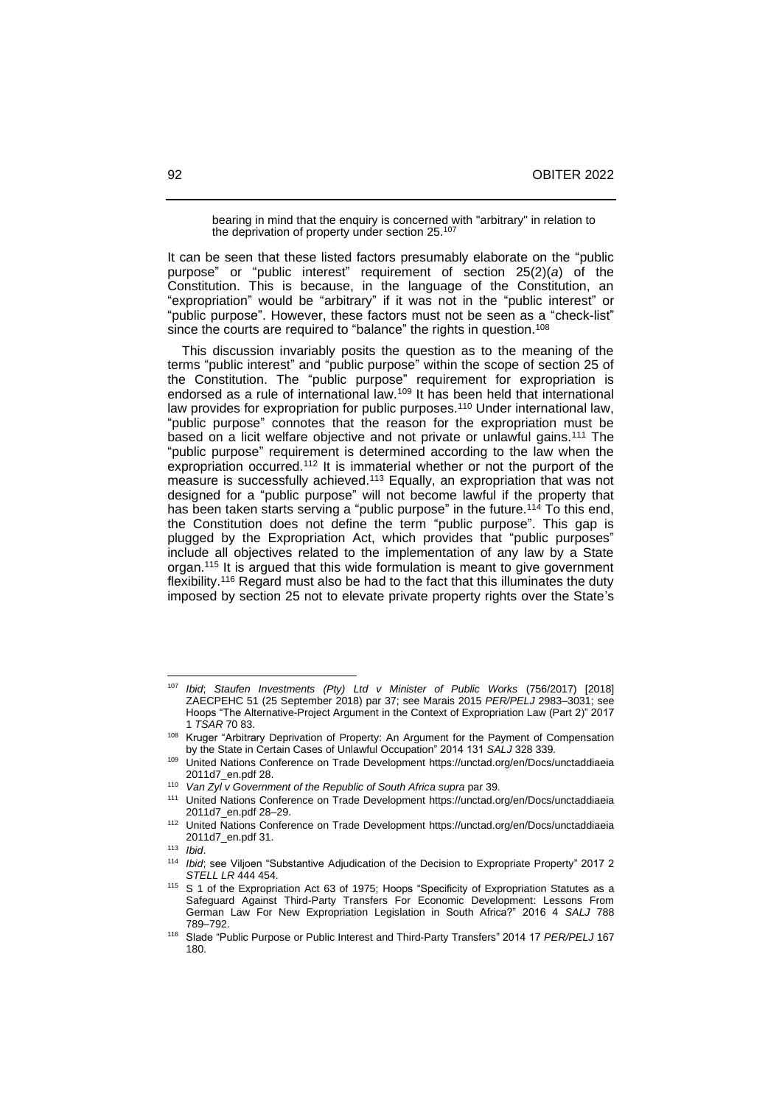bearing in mind that the enquiry is concerned with "arbitrary" in relation to the deprivation of property under section 25.<sup>107</sup>

It can be seen that these listed factors presumably elaborate on the "public purpose" or "public interest" requirement of section 25(2)(*a*) of the Constitution. This is because, in the language of the Constitution, an "expropriation" would be "arbitrary" if it was not in the "public interest" or "public purpose". However, these factors must not be seen as a "check-list" since the courts are required to "balance" the rights in question. 108

 This discussion invariably posits the question as to the meaning of the terms "public interest" and "public purpose" within the scope of section 25 of the Constitution. The "public purpose" requirement for expropriation is endorsed as a rule of international law.<sup>109</sup> It has been held that international law provides for expropriation for public purposes.<sup>110</sup> Under international law, "public purpose" connotes that the reason for the expropriation must be based on a licit welfare objective and not private or unlawful gains.<sup>111</sup> The "public purpose" requirement is determined according to the law when the expropriation occurred.<sup>112</sup> It is immaterial whether or not the purport of the measure is successfully achieved.<sup>113</sup> Equally, an expropriation that was not designed for a "public purpose" will not become lawful if the property that has been taken starts serving a "public purpose" in the future.<sup>114</sup> To this end, the Constitution does not define the term "public purpose". This gap is plugged by the Expropriation Act, which provides that "public purposes" include all objectives related to the implementation of any law by a State organ.<sup>115</sup> It is argued that this wide formulation is meant to give government flexibility.<sup>116</sup> Regard must also be had to the fact that this illuminates the duty imposed by section 25 not to elevate private property rights over the State's

<sup>107</sup> *Ibid*; *Staufen Investments (Pty) Ltd v Minister of Public Works* (756/2017) [2018] ZAECPEHC 51 (25 September 2018) par 37; see Marais 2015 *PER/PELJ* 2983-3031; see Hoops "The Alternative-Project Argument in the Context of Expropriation Law (Part 2)" 2017 1 *TSAR* 70 83.

<sup>&</sup>lt;sup>108</sup> Kruger "Arbitrary Deprivation of Property: An Argument for the Payment of Compensation by the State in Certain Cases of Unlawful Occupation" 2014 131 *SALJ* 328 339.

<sup>109</sup> United Nations Conference on Trade Development [https://unctad.org/en/Docs/unctaddiaeia](https://unctad.org/en/Docs/unctaddiaeia%202011d7_en.pdf)  [2011d7\\_en.pdf](https://unctad.org/en/Docs/unctaddiaeia%202011d7_en.pdf) 28.

<sup>110</sup> *Van Zyl v Government of the Republic of South Africa supra* par 39.

<sup>111</sup> United Nations Conference on Trade Development [https://unctad.org/en/Docs/unctaddiaeia](https://unctad.org/en/Docs/unctaddiaeia%202011d7_en.pdf)  [2011d7\\_en.pdf](https://unctad.org/en/Docs/unctaddiaeia%202011d7_en.pdf) 28-29.

<sup>112</sup> United Nations Conference on Trade Development [https://unctad.org/en/Docs/unctaddiaeia](https://unctad.org/en/Docs/unctaddiaeia%202011d7_en.pdf)  [2011d7\\_en.pdf](https://unctad.org/en/Docs/unctaddiaeia%202011d7_en.pdf) 31.

<sup>113</sup> *Ibid*.

*Ibid*; see Viljoen "Substantive Adjudication of the Decision to Expropriate Property" 2017 2 *STELL LR* 444 454.

<sup>&</sup>lt;sup>115</sup> S 1 of the Expropriation Act 63 of 1975; Hoops "Specificity of Expropriation Statutes as a Safeguard Against Third-Party Transfers For Economic Development: Lessons From German Law For New Expropriation Legislation in South Africa?" 2016 4 *SALJ* 788 789‒792.

<sup>116</sup> Slade "Public Purpose or Public Interest and Third-Party Transfers" 2014 17 *PER/PELJ* 167 180.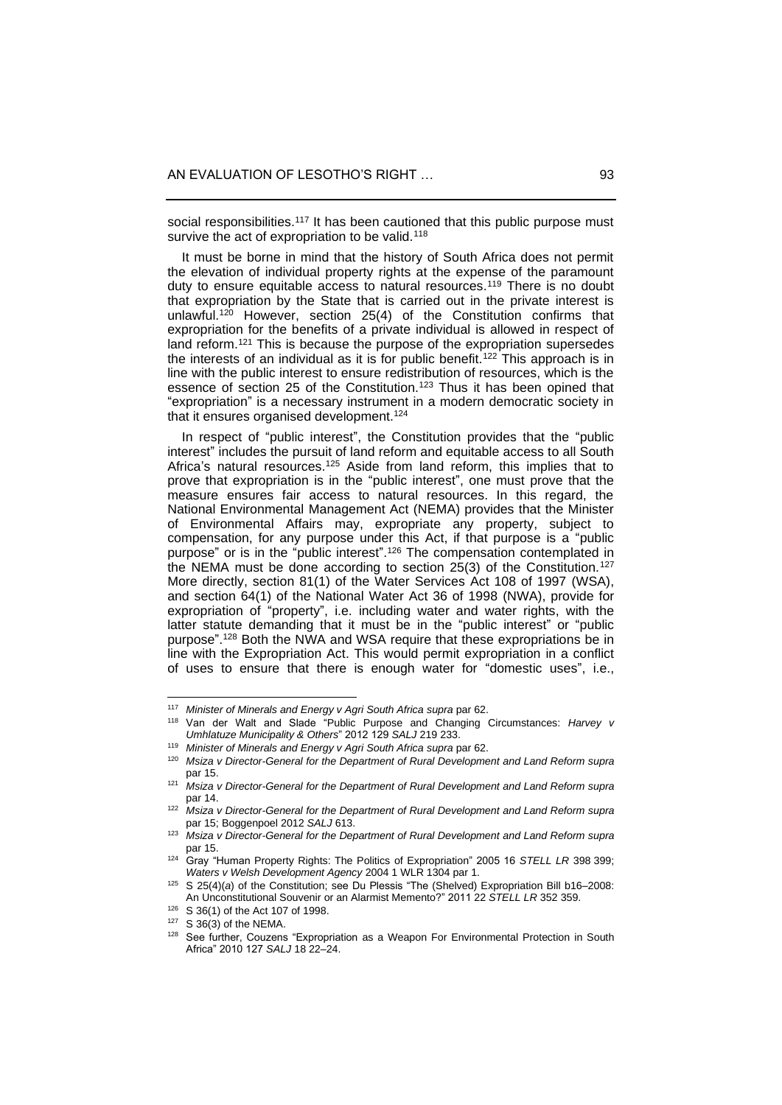social responsibilities.<sup>117</sup> It has been cautioned that this public purpose must survive the act of expropriation to be valid.<sup>118</sup>

 It must be borne in mind that the history of South Africa does not permit the elevation of individual property rights at the expense of the paramount duty to ensure equitable access to natural resources.<sup>119</sup> There is no doubt that expropriation by the State that is carried out in the private interest is unlawful.<sup>120</sup> However, section 25(4) of the Constitution confirms that expropriation for the benefits of a private individual is allowed in respect of land reform.<sup>121</sup> This is because the purpose of the expropriation supersedes the interests of an individual as it is for public benefit.<sup>122</sup> This approach is in line with the public interest to ensure redistribution of resources, which is the essence of section 25 of the Constitution.<sup>123</sup> Thus it has been opined that "expropriation" is a necessary instrument in a modern democratic society in that it ensures organised development.<sup>124</sup>

 In respect of "public interest", the Constitution provides that the "public interest" includes the pursuit of land reform and equitable access to all South Africa's natural resources.<sup>125</sup> Aside from land reform, this implies that to prove that expropriation is in the "public interest", one must prove that the measure ensures fair access to natural resources. In this regard, the National Environmental Management Act (NEMA) provides that the Minister of Environmental Affairs may, expropriate any property, subject to compensation, for any purpose under this Act, if that purpose is a "public purpose" or is in the "public interest". <sup>126</sup> The compensation contemplated in the NEMA must be done according to section 25(3) of the Constitution.<sup>127</sup> More directly, section 81(1) of the Water Services Act 108 of 1997 (WSA), and section 64(1) of the National Water Act 36 of 1998 (NWA), provide for expropriation of "property", i.e. including water and water rights, with the latter statute demanding that it must be in the "public interest" or "public purpose". <sup>128</sup> Both the NWA and WSA require that these expropriations be in line with the Expropriation Act. This would permit expropriation in a conflict of uses to ensure that there is enough water for "domestic uses", i.e.,

<sup>117</sup> *Minister of Minerals and Energy v Agri South Africa supra* par 62.

<sup>118</sup> Van der Walt and Slade "Public Purpose and Changing Circumstances: *Harvey v Umhlatuze Municipality & Others*" 2012 129 *SALJ* 219 233.

<sup>119</sup> *Minister of Minerals and Energy v Agri South Africa supra* par 62.

<sup>120</sup> *Msiza v Director-General for the Department of Rural Development and Land Reform supra* par 15.

<sup>121</sup> *Msiza v Director-General for the Department of Rural Development and Land Reform supra* par 14.

<sup>122</sup> *Msiza v Director-General for the Department of Rural Development and Land Reform supra* par 15; Boggenpoel 2012 *SALJ* 613.

<sup>123</sup> *Msiza v Director-General for the Department of Rural Development and Land Reform supra* par 15.

<sup>124</sup> Gray "Human Property Rights: The Politics of Expropriation" 2005 16 *STELL LR* 398 399; *Waters v Welsh Development Agency* 2004 1 WLR 1304 par 1.

<sup>&</sup>lt;sup>125</sup> S 25(4)(a) of the Constitution; see Du Plessis "The (Shelved) Expropriation Bill b16-2008: An Unconstitutional Souvenir or an Alarmist Memento?" 2011 22 *STELL LR* 352 359.

<sup>126</sup> S 36(1) of the Act 107 of 1998.

<sup>127</sup> S 36(3) of the NEMA.

<sup>128</sup> See further, Couzens "Expropriation as a Weapon For Environmental Protection in South Africa" 2010 127 *SALJ* 18 22‒24.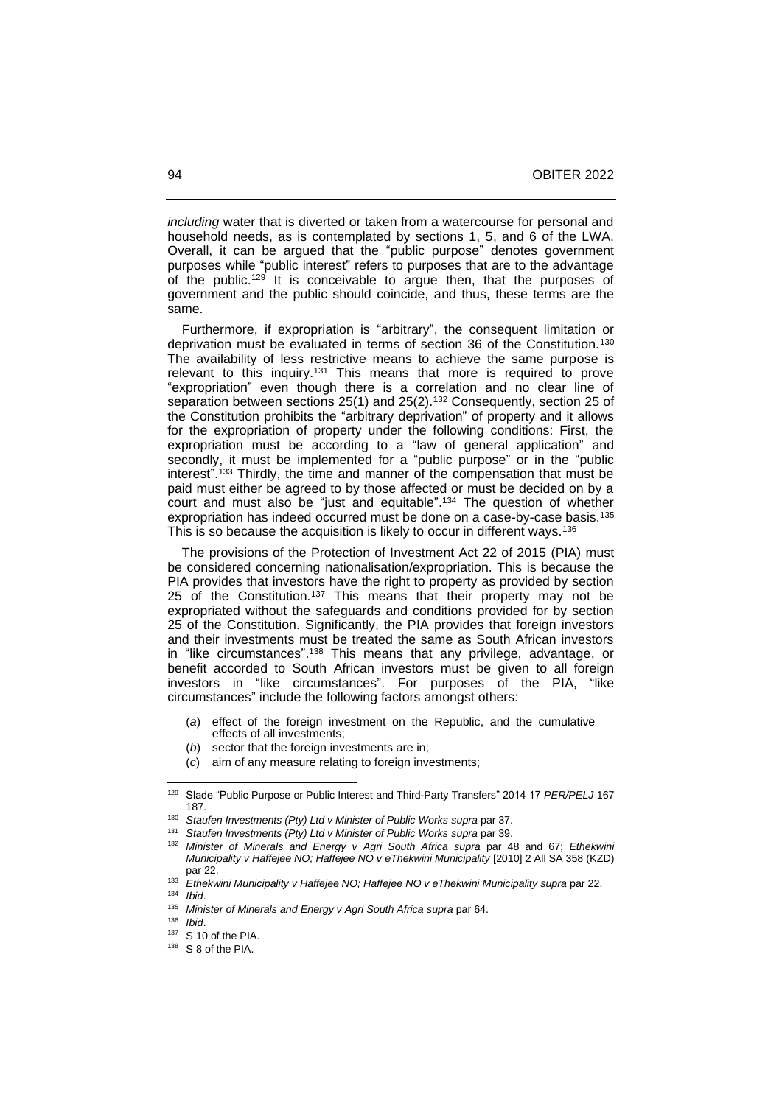*including* water that is diverted or taken from a watercourse for personal and household needs, as is contemplated by sections 1, 5, and 6 of the LWA. Overall, it can be argued that the "public purpose" denotes government purposes while "public interest" refers to purposes that are to the advantage of the public.<sup>129</sup> It is conceivable to argue then, that the purposes of government and the public should coincide, and thus, these terms are the same.

 Furthermore, if expropriation is "arbitrary", the consequent limitation or deprivation must be evaluated in terms of section 36 of the Constitution.<sup>130</sup> The availability of less restrictive means to achieve the same purpose is relevant to this inquiry.<sup>131</sup> This means that more is required to prove "expropriation" even though there is a correlation and no clear line of separation between sections 25(1) and 25(2).<sup>132</sup> Consequently, section 25 of the Constitution prohibits the "arbitrary deprivation" of property and it allows for the expropriation of property under the following conditions: First, the expropriation must be according to a "law of general application" and secondly, it must be implemented for a "public purpose" or in the "public interest". <sup>133</sup> Thirdly, the time and manner of the compensation that must be paid must either be agreed to by those affected or must be decided on by a court and must also be "just and equitable". <sup>134</sup> The question of whether expropriation has indeed occurred must be done on a case-by-case basis.<sup>135</sup> This is so because the acquisition is likely to occur in different ways.<sup>136</sup>

 The provisions of the Protection of Investment Act 22 of 2015 (PIA) must be considered concerning nationalisation/expropriation. This is because the PIA provides that investors have the right to property as provided by section 25 of the Constitution.<sup>137</sup> This means that their property may not be expropriated without the safeguards and conditions provided for by section 25 of the Constitution. Significantly, the PIA provides that foreign investors and their investments must be treated the same as South African investors in "like circumstances".<sup>138</sup> This means that any privilege, advantage, or benefit accorded to South African investors must be given to all foreign investors in "like circumstances". For purposes of the PIA, "like circumstances" include the following factors amongst others:

- (*a*) effect of the foreign investment on the Republic, and the cumulative effects of all investments;
- (*b*) sector that the foreign investments are in;
- (*c*) aim of any measure relating to foreign investments;

<sup>129</sup> Slade "Public Purpose or Public Interest and Third-Party Transfers" 2014 17 *PER/PELJ* 167 187.

<sup>130</sup> *Staufen Investments (Pty) Ltd v Minister of Public Works supra* par 37.

<sup>131</sup> *Staufen Investments (Pty) Ltd v Minister of Public Works supra* par 39.

<sup>132</sup> *Minister of Minerals and Energy v Agri South Africa supra* par 48 and 67; *Ethekwini Municipality v Haffejee NO; Haffejee NO v eThekwini Municipality* [2010] 2 All SA 358 (KZD) par 22.

<sup>133</sup> *Ethekwini Municipality v Haffejee NO; Haffejee NO v eThekwini Municipality supra* par 22.

<sup>134</sup> *Ibid*.

<sup>135</sup> *Minister of Minerals and Energy v Agri South Africa supra* par 64.

<sup>136</sup> *Ibid*.

<sup>137</sup> S 10 of the PIA.

<sup>138</sup> S 8 of the PIA.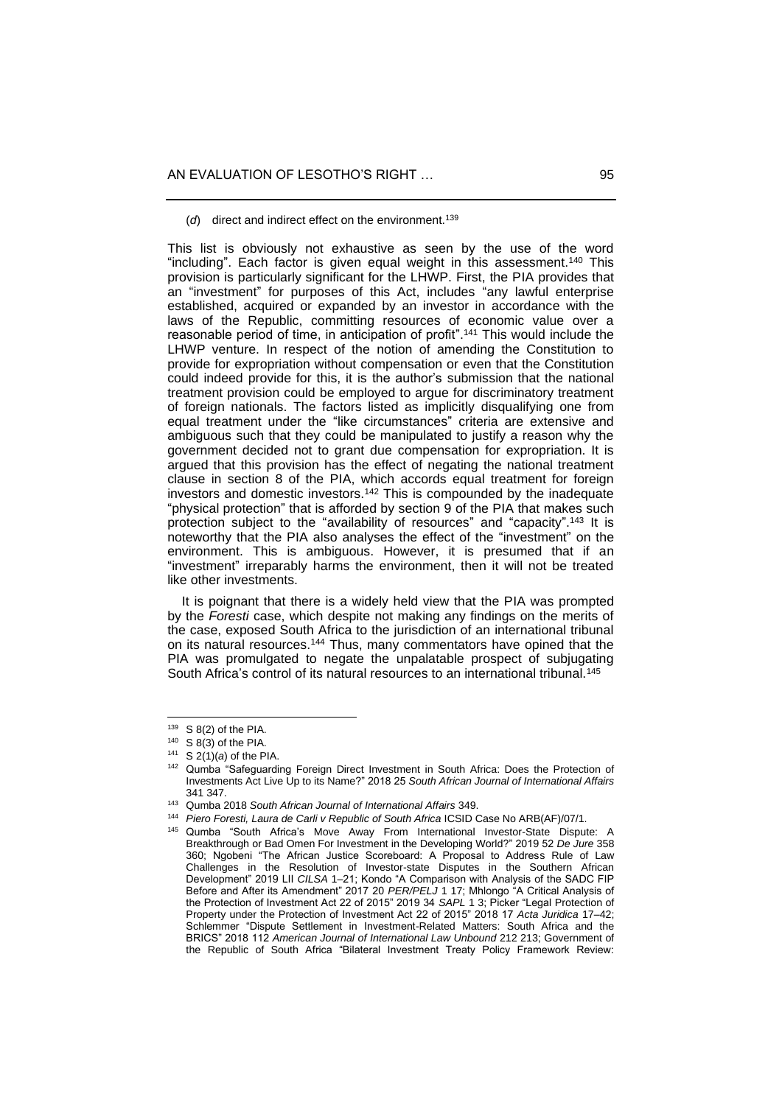(*d*) direct and indirect effect on the environment.<sup>139</sup>

This list is obviously not exhaustive as seen by the use of the word "including". Each factor is given equal weight in this assessment.<sup>140</sup> This provision is particularly significant for the LHWP. First, the PIA provides that an "investment" for purposes of this Act, includes "any lawful enterprise established, acquired or expanded by an investor in accordance with the laws of the Republic, committing resources of economic value over a reasonable period of time, in anticipation of profit". <sup>141</sup> This would include the LHWP venture. In respect of the notion of amending the Constitution to provide for expropriation without compensation or even that the Constitution could indeed provide for this, it is the author's submission that the national treatment provision could be employed to argue for discriminatory treatment of foreign nationals. The factors listed as implicitly disqualifying one from equal treatment under the "like circumstances" criteria are extensive and ambiguous such that they could be manipulated to justify a reason why the government decided not to grant due compensation for expropriation. It is argued that this provision has the effect of negating the national treatment clause in section 8 of the PIA, which accords equal treatment for foreign investors and domestic investors.<sup>142</sup> This is compounded by the inadequate "physical protection" that is afforded by section 9 of the PIA that makes such protection subject to the "availability of resources" and "capacity". <sup>143</sup> It is noteworthy that the PIA also analyses the effect of the "investment" on the environment. This is ambiguous. However, it is presumed that if an "investment" irreparably harms the environment, then it will not be treated like other investments.

 It is poignant that there is a widely held view that the PIA was prompted by the *Foresti* case, which despite not making any findings on the merits of the case, exposed South Africa to the jurisdiction of an international tribunal on its natural resources.<sup>144</sup> Thus, many commentators have opined that the PIA was promulgated to negate the unpalatable prospect of subjugating South Africa's control of its natural resources to an international tribunal.<sup>145</sup>

 $139$  S 8(2) of the PIA.

 $140$  S 8(3) of the PIA.

<sup>141</sup> S 2(1)(*a*) of the PIA.

<sup>142</sup> Qumba "Safeguarding Foreign Direct Investment in South Africa: Does the Protection of Investments Act Live Up to its Name?" 2018 25 *South African Journal of International Affairs* 341 347.

<sup>143</sup> Qumba 2018 *South African Journal of International Affairs* 349.

<sup>144</sup> *Piero Foresti, Laura de Carli v Republic of South Africa* ICSID Case No ARB(AF)/07/1.

<sup>145</sup> Qumba "South Africa's Move Away From International Investor-State Dispute: A Breakthrough or Bad Omen For Investment in the Developing World?" 2019 52 *De Jure* 358 360; Ngobeni "The African Justice Scoreboard: A Proposal to Address Rule of Law Challenges in the Resolution of Investor-state Disputes in the Southern African Development" 2019 LII CILSA 1-21; Kondo "A Comparison with Analysis of the SADC FIP Before and After its Amendment" 2017 20 *PER/PELJ* 1 17; Mhlongo "A Critical Analysis of the Protection of Investment Act 22 of 2015" 2019 34 *SAPL* 1 3; Picker "Legal Protection of Property under the Protection of Investment Act 22 of 2015" 2018 17 Acta Juridica 17–42: Schlemmer "Dispute Settlement in Investment-Related Matters: South Africa and the BRICS" 2018 112 *American Journal of International Law Unbound* 212 213; Government of the Republic of South Africa "Bilateral Investment Treaty Policy Framework Review: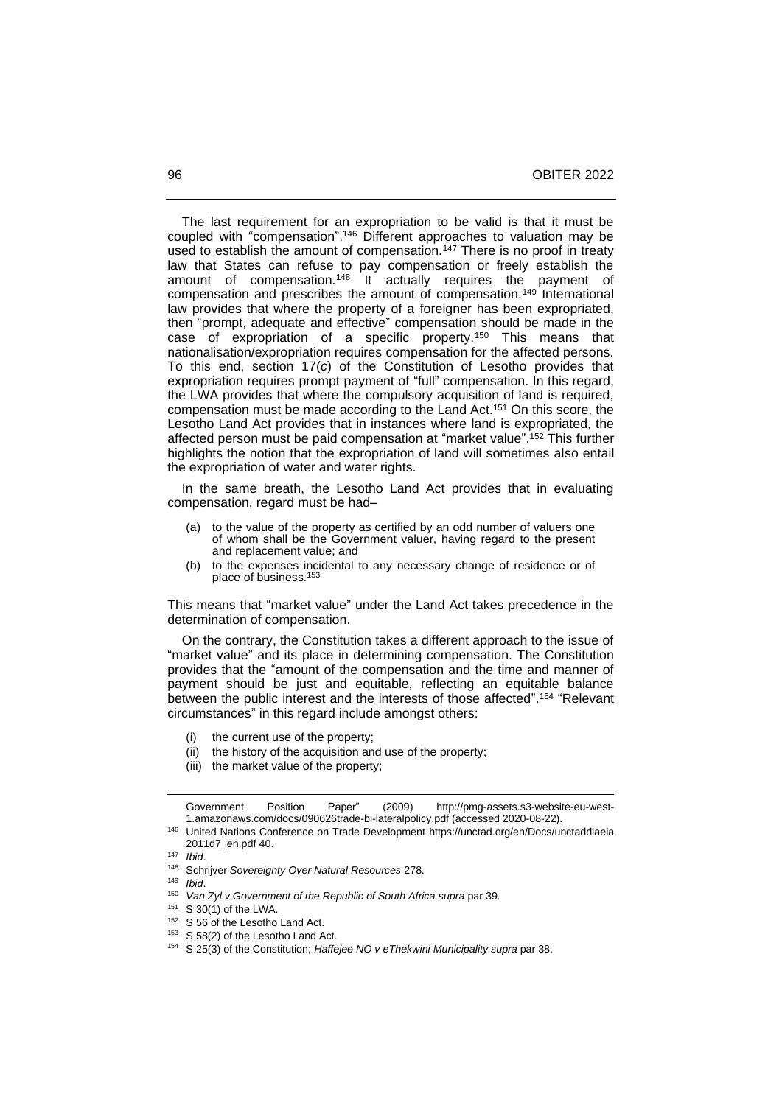The last requirement for an expropriation to be valid is that it must be coupled with "compensation". <sup>146</sup> Different approaches to valuation may be used to establish the amount of compensation.<sup>147</sup> There is no proof in treaty law that States can refuse to pay compensation or freely establish the amount of compensation.<sup>148</sup> It actually requires the payment of compensation and prescribes the amount of compensation.<sup>149</sup> International law provides that where the property of a foreigner has been expropriated, then "prompt, adequate and effective" compensation should be made in the case of expropriation of a specific property.<sup>150</sup> This means that nationalisation/expropriation requires compensation for the affected persons. To this end, section 17(*c*) of the Constitution of Lesotho provides that expropriation requires prompt payment of "full" compensation. In this regard, the LWA provides that where the compulsory acquisition of land is required, compensation must be made according to the Land Act.<sup>151</sup> On this score, the Lesotho Land Act provides that in instances where land is expropriated, the affected person must be paid compensation at "market value". <sup>152</sup> This further highlights the notion that the expropriation of land will sometimes also entail the expropriation of water and water rights.

 In the same breath, the Lesotho Land Act provides that in evaluating compensation, regard must be had-

- (a) to the value of the property as certified by an odd number of valuers one of whom shall be the Government valuer, having regard to the present and replacement value; and
- (b) to the expenses incidental to any necessary change of residence or of place of business.<sup>153</sup>

This means that "market value" under the Land Act takes precedence in the determination of compensation.

 On the contrary, the Constitution takes a different approach to the issue of "market value" and its place in determining compensation. The Constitution provides that the "amount of the compensation and the time and manner of payment should be just and equitable, reflecting an equitable balance between the public interest and the interests of those affected". 154 "Relevant circumstances" in this regard include amongst others:

- (i) the current use of the property;
- (ii) the history of the acquisition and use of the property;
- (iii) the market value of the property;

Government Position Paper" (2009) [http://pmg-assets.s3-website-eu-west-](http://pmg-assets.s3-website-eu-west-1.amazonaws.com/docs/090626trade-bi-lateralpolicy.pdf)[1.amazonaws.com/docs/090626trade-bi-lateralpolicy.pdf](http://pmg-assets.s3-website-eu-west-1.amazonaws.com/docs/090626trade-bi-lateralpolicy.pdf) (accessed 2020-08-22).

<sup>146</sup> United Nations Conference on Trade Development [https://unctad.org/en/Docs/unctaddiaeia](https://unctad.org/en/Docs/unctaddiaeia%202011d7_en.pdf)  [2011d7\\_en.pdf](https://unctad.org/en/Docs/unctaddiaeia%202011d7_en.pdf) 40.

<sup>147</sup> *Ibid*.

<sup>148</sup> Schrijver *Sovereignty Over Natural Resources* 278.

<sup>149</sup> *Ibid*.

<sup>150</sup> *Van Zyl v Government of the Republic of South Africa supra* par 39.

<sup>151</sup> S 30(1) of the LWA.

<sup>&</sup>lt;sup>152</sup> S 56 of the Lesotho Land Act.

<sup>&</sup>lt;sup>153</sup> S 58(2) of the Lesotho Land Act.

<sup>154</sup> S 25(3) of the Constitution; *Haffejee NO v eThekwini Municipality supra* par 38.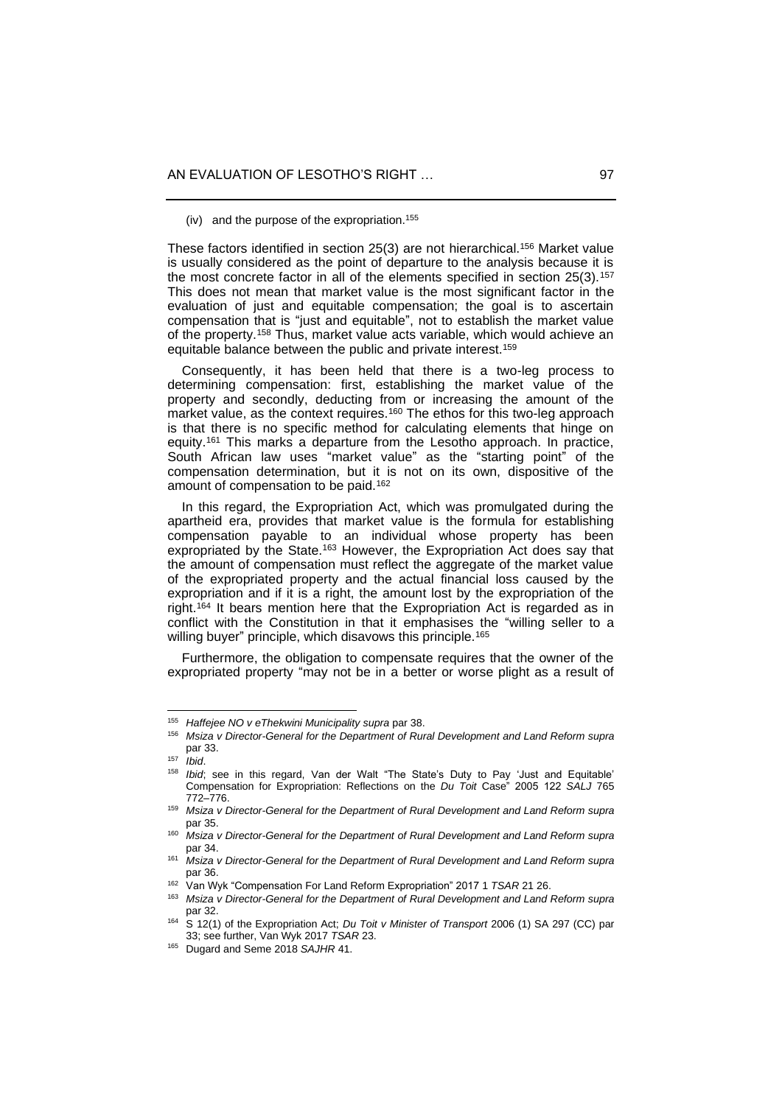(iv) and the purpose of the expropriation.<sup>155</sup>

These factors identified in section 25(3) are not hierarchical.<sup>156</sup> Market value is usually considered as the point of departure to the analysis because it is the most concrete factor in all of the elements specified in section 25(3).<sup>157</sup> This does not mean that market value is the most significant factor in the evaluation of just and equitable compensation; the goal is to ascertain compensation that is "just and equitable", not to establish the market value of the property.<sup>158</sup> Thus, market value acts variable, which would achieve an equitable balance between the public and private interest.<sup>159</sup>

 Consequently, it has been held that there is a two-leg process to determining compensation: first, establishing the market value of the property and secondly, deducting from or increasing the amount of the market value, as the context requires.<sup>160</sup> The ethos for this two-leg approach is that there is no specific method for calculating elements that hinge on equity.<sup>161</sup> This marks a departure from the Lesotho approach. In practice, South African law uses "market value" as the "starting point" of the compensation determination, but it is not on its own, dispositive of the amount of compensation to be paid.<sup>162</sup>

 In this regard, the Expropriation Act, which was promulgated during the apartheid era, provides that market value is the formula for establishing compensation payable to an individual whose property has been expropriated by the State.<sup>163</sup> However, the Expropriation Act does say that the amount of compensation must reflect the aggregate of the market value of the expropriated property and the actual financial loss caused by the expropriation and if it is a right, the amount lost by the expropriation of the right.<sup>164</sup> It bears mention here that the Expropriation Act is regarded as in conflict with the Constitution in that it emphasises the "willing seller to a willing buyer" principle, which disavows this principle.<sup>165</sup>

 Furthermore, the obligation to compensate requires that the owner of the expropriated property "may not be in a better or worse plight as a result of

<sup>155</sup> *Haffejee NO v eThekwini Municipality supra* par 38.

<sup>156</sup> *Msiza v Director-General for the Department of Rural Development and Land Reform supra* par 33.

<sup>157</sup> *Ibid*.

<sup>158</sup> *Ibid*; see in this regard, Van der Walt "The State's Duty to Pay 'Just and Equitable' Compensation for Expropriation: Reflections on the *Du Toit* Case" 2005 122 *SALJ* 765 772‒776.

<sup>159</sup> *Msiza v Director-General for the Department of Rural Development and Land Reform supra* par 35.

<sup>160</sup> *Msiza v Director-General for the Department of Rural Development and Land Reform supra* par 34.

<sup>161</sup> *Msiza v Director-General for the Department of Rural Development and Land Reform supra* par 36.

<sup>162</sup> Van Wyk "Compensation For Land Reform Expropriation" 2017 1 *TSAR* 21 26.

<sup>163</sup> *Msiza v Director-General for the Department of Rural Development and Land Reform supra* par 32.

<sup>164</sup> S 12(1) of the Expropriation Act; *Du Toit v Minister of Transport* 2006 (1) SA 297 (CC) par 33; see further, Van Wyk 2017 *TSAR* 23.

<sup>165</sup> Dugard and Seme 2018 *SAJHR* 41.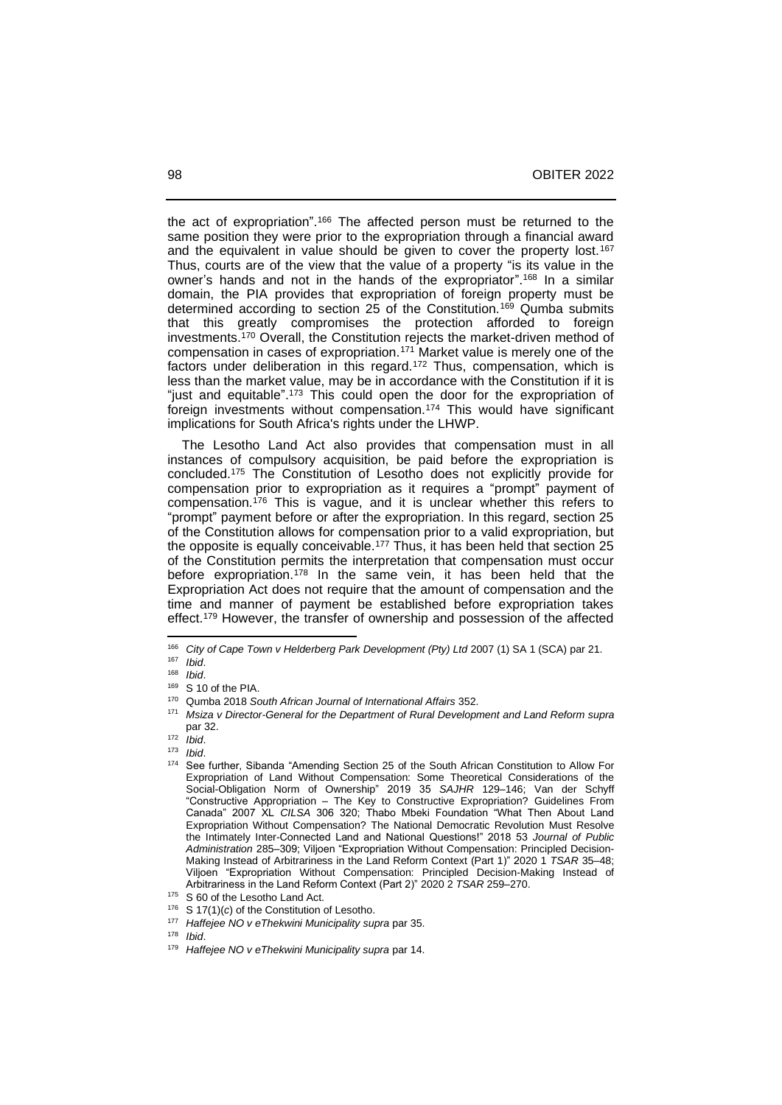the act of expropriation".<sup>166</sup> The affected person must be returned to the same position they were prior to the expropriation through a financial award and the equivalent in value should be given to cover the property lost.<sup>167</sup> Thus, courts are of the view that the value of a property "is its value in the owner's hands and not in the hands of the expropriator". <sup>168</sup> In a similar domain, the PIA provides that expropriation of foreign property must be determined according to section 25 of the Constitution.<sup>169</sup> Qumba submits that this greatly compromises the protection afforded to foreign investments.<sup>170</sup> Overall, the Constitution rejects the market-driven method of compensation in cases of expropriation.<sup>171</sup> Market value is merely one of the factors under deliberation in this regard.<sup>172</sup> Thus, compensation, which is less than the market value, may be in accordance with the Constitution if it is "just and equitable".<sup>173</sup> This could open the door for the expropriation of foreign investments without compensation.<sup>174</sup> This would have significant implications for South Africa's rights under the LHWP.

 The Lesotho Land Act also provides that compensation must in all instances of compulsory acquisition, be paid before the expropriation is concluded.<sup>175</sup> The Constitution of Lesotho does not explicitly provide for compensation prior to expropriation as it requires a "prompt" payment of compensation.<sup>176</sup> This is vague, and it is unclear whether this refers to "prompt" payment before or after the expropriation. In this regard, section 25 of the Constitution allows for compensation prior to a valid expropriation, but the opposite is equally conceivable.<sup>177</sup> Thus, it has been held that section 25 of the Constitution permits the interpretation that compensation must occur before expropriation.<sup>178</sup> In the same vein, it has been held that the Expropriation Act does not require that the amount of compensation and the time and manner of payment be established before expropriation takes effect.<sup>179</sup> However, the transfer of ownership and possession of the affected

<sup>178</sup> *Ibid*.

<sup>166</sup> *City of Cape Town v Helderberg Park Development (Pty) Ltd* 2007 (1) SA 1 (SCA) par 21.

<sup>167</sup> *Ibid*.

<sup>168</sup> *Ibid*.

 $^{169}$  S 10 of the PIA.<br> $^{170}$  Qumba 2018 So

<sup>170</sup> Qumba 2018 *South African Journal of International Affairs* 352.

<sup>171</sup> *Msiza v Director-General for the Department of Rural Development and Land Reform supra* par 32.

<sup>172</sup> *Ibid*.

<sup>173</sup> *Ibid*.

See further, Sibanda "Amending Section 25 of the South African Constitution to Allow For Expropriation of Land Without Compensation: Some Theoretical Considerations of the Social-Obligation Norm of Ownership" 2019 35 SAJHR 129-146; Van der Schyff "Constructive Appropriation – The Key to Constructive Expropriation? Guidelines From Canada" 2007 XL *CILSA* 306 320; Thabo Mbeki Foundation "What Then About Land Expropriation Without Compensation? The National Democratic Revolution Must Resolve the Intimately Inter-Connected Land and National Questions!" 2018 53 *Journal of Public Administration* 285‒309; Viljoen "Expropriation Without Compensation: Principled Decision-Making Instead of Arbitrariness in the Land Reform Context (Part 1)" 2020 1 TSAR 35-48; Viljoen "Expropriation Without Compensation: Principled Decision-Making Instead of Arbitrariness in the Land Reform Context (Part 2)" 2020 2 *TSAR* 259-270.

<sup>&</sup>lt;sup>175</sup> S 60 of the Lesotho Land Act.

<sup>&</sup>lt;sup>176</sup> S 17(1)(*c*) of the Constitution of Lesotho.

*Haffejee NO v eThekwini Municipality supra par 35.* 

<sup>179</sup> *Haffejee NO v eThekwini Municipality supra* par 14.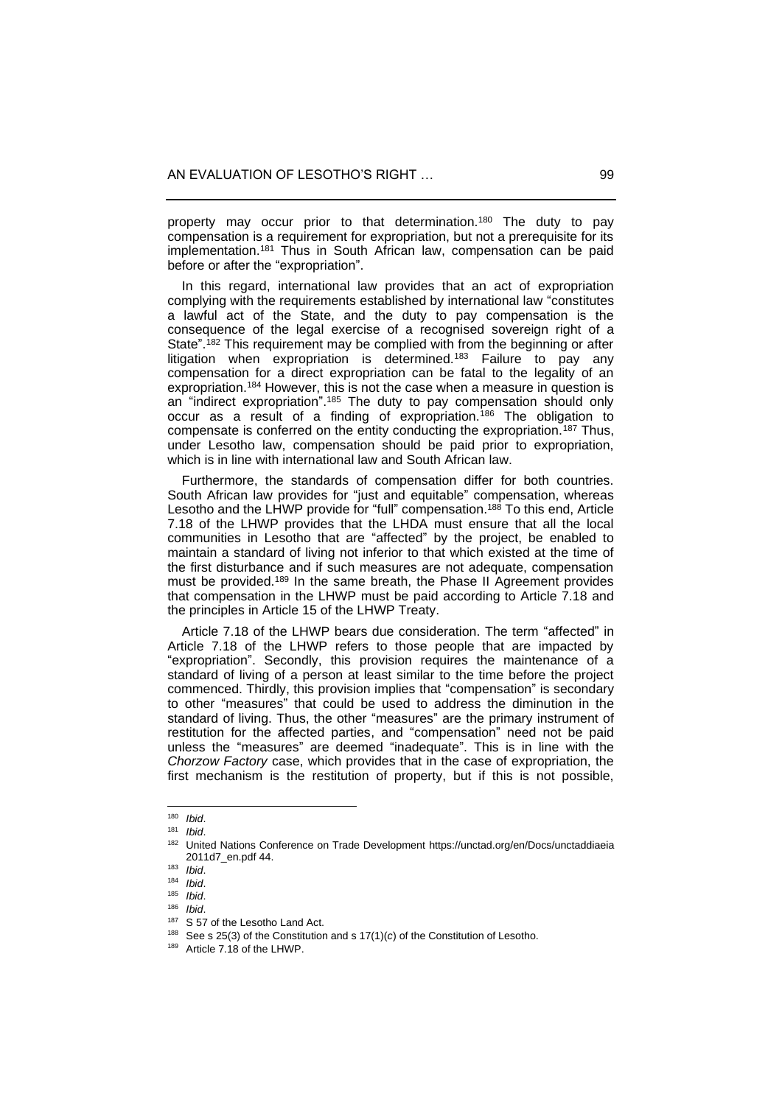property may occur prior to that determination.<sup>180</sup> The duty to pay compensation is a requirement for expropriation, but not a prerequisite for its implementation.<sup>181</sup> Thus in South African law, compensation can be paid before or after the "expropriation".

 In this regard, international law provides that an act of expropriation complying with the requirements established by international law "constitutes a lawful act of the State, and the duty to pay compensation is the consequence of the legal exercise of a recognised sovereign right of a State". <sup>182</sup> This requirement may be complied with from the beginning or after litigation when expropriation is determined.<sup>183</sup> Failure to pay any compensation for a direct expropriation can be fatal to the legality of an expropriation.<sup>184</sup> However, this is not the case when a measure in question is an "indirect expropriation".<sup>185</sup> The duty to pay compensation should only occur as a result of a finding of expropriation.<sup>186</sup> The obligation to compensate is conferred on the entity conducting the expropriation.<sup>187</sup> Thus, under Lesotho law, compensation should be paid prior to expropriation, which is in line with international law and South African law.

 Furthermore, the standards of compensation differ for both countries. South African law provides for "just and equitable" compensation, whereas Lesotho and the LHWP provide for "full" compensation.<sup>188</sup> To this end, Article 7.18 of the LHWP provides that the LHDA must ensure that all the local communities in Lesotho that are "affected" by the project, be enabled to maintain a standard of living not inferior to that which existed at the time of the first disturbance and if such measures are not adequate, compensation must be provided.<sup>189</sup> In the same breath, the Phase II Agreement provides that compensation in the LHWP must be paid according to Article 7.18 and the principles in Article 15 of the LHWP Treaty.

 Article 7.18 of the LHWP bears due consideration. The term "affected" in Article 7.18 of the LHWP refers to those people that are impacted by "expropriation". Secondly, this provision requires the maintenance of a standard of living of a person at least similar to the time before the project commenced. Thirdly, this provision implies that "compensation" is secondary to other "measures" that could be used to address the diminution in the standard of living. Thus, the other "measures" are the primary instrument of restitution for the affected parties, and "compensation" need not be paid unless the "measures" are deemed "inadequate". This is in line with the *Chorzow Factory* case, which provides that in the case of expropriation, the first mechanism is the restitution of property, but if this is not possible,

<sup>180</sup> *Ibid*.

<sup>181</sup> *Ibid*.

<sup>182</sup> United Nations Conference on Trade Development [https://unctad.org/en/Docs/unctaddiaeia](https://unctad.org/en/Docs/unctaddiaeia%202011d7_en.pdf)  [2011d7\\_en.pdf](https://unctad.org/en/Docs/unctaddiaeia%202011d7_en.pdf) 44.

<sup>183</sup> *Ibid*.

<sup>184</sup> *Ibid*.

<sup>185</sup> *Ibid*.

<sup>186</sup> *Ibid.*<br>187 **C** E<sub>7</sub>

<sup>187</sup> S 57 of the Lesotho Land Act.

<sup>&</sup>lt;sup>188</sup> See s 25(3) of the Constitution and s  $17(1)(c)$  of the Constitution of Lesotho.

<sup>189</sup> Article 7.18 of the LHWP.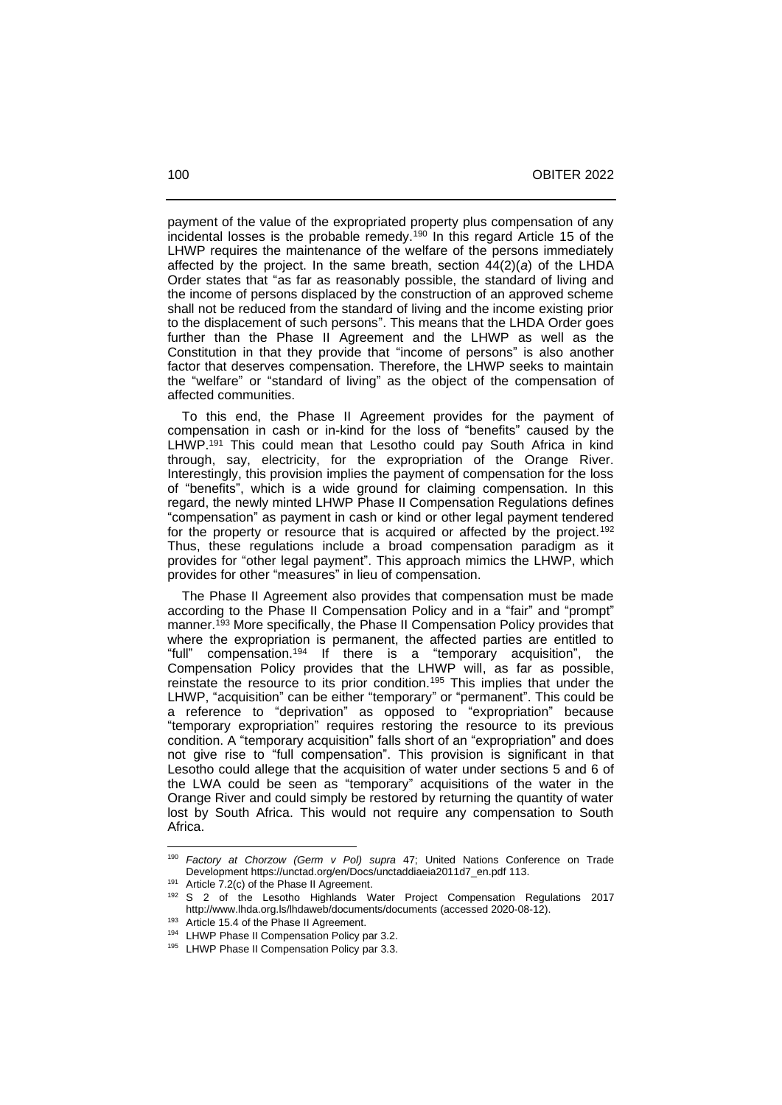payment of the value of the expropriated property plus compensation of any incidental losses is the probable remedy.<sup>190</sup> In this regard Article 15 of the LHWP requires the maintenance of the welfare of the persons immediately affected by the project. In the same breath, section 44(2)(*a*) of the LHDA Order states that "as far as reasonably possible, the standard of living and the income of persons displaced by the construction of an approved scheme shall not be reduced from the standard of living and the income existing prior to the displacement of such persons". This means that the LHDA Order goes further than the Phase II Agreement and the LHWP as well as the Constitution in that they provide that "income of persons" is also another factor that deserves compensation. Therefore, the LHWP seeks to maintain the "welfare" or "standard of living" as the object of the compensation of affected communities.

 To this end, the Phase II Agreement provides for the payment of compensation in cash or in-kind for the loss of "benefits" caused by the LHWP.<sup>191</sup> This could mean that Lesotho could pay South Africa in kind through, say, electricity, for the expropriation of the Orange River. Interestingly, this provision implies the payment of compensation for the loss of "benefits", which is a wide ground for claiming compensation. In this regard, the newly minted LHWP Phase II Compensation Regulations defines "compensation" as payment in cash or kind or other legal payment tendered for the property or resource that is acquired or affected by the project.<sup>192</sup> Thus, these regulations include a broad compensation paradigm as it provides for "other legal payment". This approach mimics the LHWP, which provides for other "measures" in lieu of compensation.

 The Phase II Agreement also provides that compensation must be made according to the Phase II Compensation Policy and in a "fair" and "prompt" manner.<sup>193</sup> More specifically, the Phase II Compensation Policy provides that where the expropriation is permanent, the affected parties are entitled to "full" compensation.<sup>194</sup> If there is a "temporary acquisition", the Compensation Policy provides that the LHWP will, as far as possible, reinstate the resource to its prior condition.<sup>195</sup> This implies that under the LHWP, "acquisition" can be either "temporary" or "permanent". This could be a reference to "deprivation" as opposed to "expropriation" because "temporary expropriation" requires restoring the resource to its previous condition. A "temporary acquisition" falls short of an "expropriation" and does not give rise to "full compensation". This provision is significant in that Lesotho could allege that the acquisition of water under sections 5 and 6 of the LWA could be seen as "temporary" acquisitions of the water in the Orange River and could simply be restored by returning the quantity of water lost by South Africa. This would not require any compensation to South Africa.

<sup>190</sup> *Factory at Chorzow (Germ v Pol) supra* 47; United Nations Conference on Trade Development [https://unctad.org/en/Docs/unctaddiaeia2011d7\\_en.pdf](https://unctad.org/en/Docs/unctaddiaeia2011d7_en.pdf) 113.

<sup>&</sup>lt;sup>191</sup> Article 7.2(c) of the Phase II Agreement.

<sup>&</sup>lt;sup>192</sup> S 2 of the Lesotho Highlands Water Project Compensation Regulations 2017 <http://www.lhda.org.ls/lhdaweb/documents/documents> (accessed 2020-08-12).

<sup>193</sup> Article 15.4 of the Phase II Agreement.

<sup>194</sup> LHWP Phase II Compensation Policy par 3.2.

<sup>195</sup> LHWP Phase II Compensation Policy par 3.3.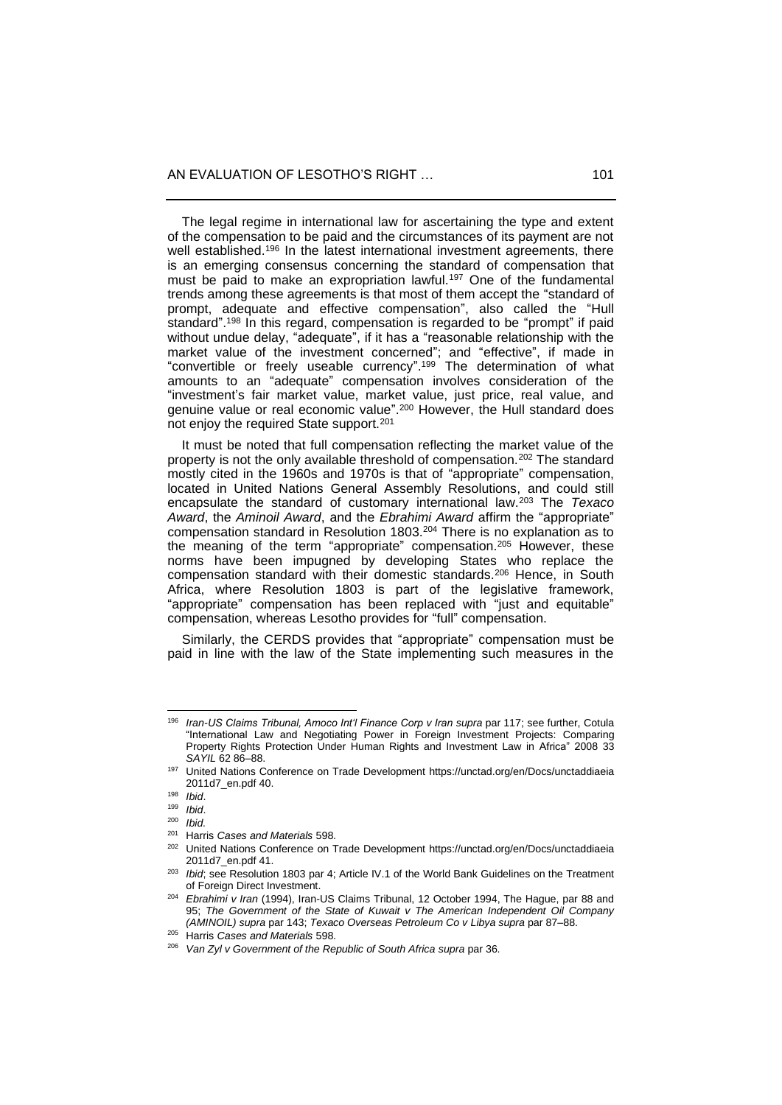The legal regime in international law for ascertaining the type and extent of the compensation to be paid and the circumstances of its payment are not well established.<sup>196</sup> In the latest international investment agreements, there is an emerging consensus concerning the standard of compensation that must be paid to make an expropriation lawful.<sup>197</sup> One of the fundamental trends among these agreements is that most of them accept the "standard of prompt, adequate and effective compensation", also called the "Hull standard". <sup>198</sup> In this regard, compensation is regarded to be "prompt" if paid without undue delay, "adequate", if it has a "reasonable relationship with the market value of the investment concerned"; and "effective", if made in "convertible or freely useable currency". <sup>199</sup> The determination of what amounts to an "adequate" compensation involves consideration of the "investment's fair market value, market value, just price, real value, and genuine value or real economic value". <sup>200</sup> However, the Hull standard does not enjoy the required State support.<sup>201</sup>

 It must be noted that full compensation reflecting the market value of the property is not the only available threshold of compensation.<sup>202</sup> The standard mostly cited in the 1960s and 1970s is that of "appropriate" compensation, located in United Nations General Assembly Resolutions, and could still encapsulate the standard of customary international law.<sup>203</sup> The *Texaco Award*, the *Aminoil Award*, and the *Ebrahimi Award* affirm the "appropriate" compensation standard in Resolution 1803.<sup>204</sup> There is no explanation as to the meaning of the term "appropriate" compensation.<sup>205</sup> However, these norms have been impugned by developing States who replace the compensation standard with their domestic standards.<sup>206</sup> Hence, in South Africa, where Resolution 1803 is part of the legislative framework, "appropriate" compensation has been replaced with "just and equitable" compensation, whereas Lesotho provides for "full" compensation.

 Similarly, the CERDS provides that "appropriate" compensation must be paid in line with the law of the State implementing such measures in the

<sup>196</sup> *Iran-US Claims Tribunal, Amoco Int'l Finance Corp v Iran supra* par 117; see further, Cotula "International Law and Negotiating Power in Foreign Investment Projects: Comparing Property Rights Protection Under Human Rights and Investment Law in Africa" 2008 33 *SAYIL* 62 86‒88.

<sup>197</sup> United Nations Conference on Trade Development [https://unctad.org/en/Docs/unctaddiaeia](https://unctad.org/en/Docs/unctaddiaeia%202011d7_en.pdf)  [2011d7\\_en.pdf](https://unctad.org/en/Docs/unctaddiaeia%202011d7_en.pdf) 40.

<sup>198</sup> *Ibid*.

<sup>199</sup> *Ibid*.

<sup>200</sup> *Ibid.*

<sup>201</sup> Harris *Cases and Materials* 598.

United Nations Conference on Trade Development https://unctad.org/en/Docs/unctaddiaeia [2011d7\\_en.pdf](https://unctad.org/en/Docs/unctaddiaeia%202011d7_en.pdf) 41.

<sup>&</sup>lt;sup>203</sup> *Ibid*; see Resolution 1803 par 4; Article IV.1 of the World Bank Guidelines on the Treatment of Foreign Direct Investment.

<sup>204</sup> *Ebrahimi v Iran* (1994), Iran-US Claims Tribunal, 12 October 1994, The Hague, par 88 and 95; *The Government of the State of Kuwait v The American Independent Oil Company (AMINOIL) supra* par 143; *Texaco Overseas Petroleum Co v Libya supra* par 87–88.

<sup>205</sup> Harris *Cases and Materials* 598.

<sup>206</sup> *Van Zyl v Government of the Republic of South Africa supra* par 36.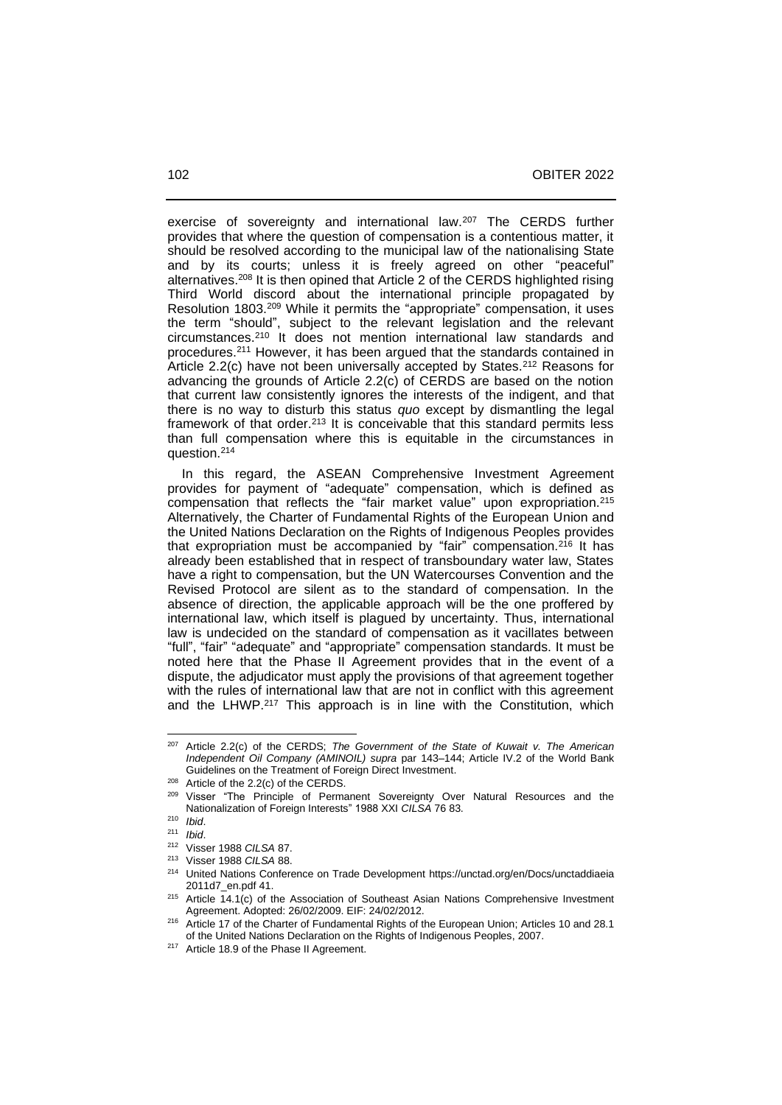exercise of sovereignty and international law.<sup>207</sup> The CERDS further provides that where the question of compensation is a contentious matter, it should be resolved according to the municipal law of the nationalising State and by its courts; unless it is freely agreed on other "peaceful" alternatives.<sup>208</sup> It is then opined that Article 2 of the CERDS highlighted rising Third World discord about the international principle propagated by Resolution 1803.<sup>209</sup> While it permits the "appropriate" compensation, it uses the term "should", subject to the relevant legislation and the relevant circumstances.<sup>210</sup> It does not mention international law standards and procedures.<sup>211</sup> However, it has been argued that the standards contained in Article 2.2(c) have not been universally accepted by States.<sup>212</sup> Reasons for advancing the grounds of Article 2.2(c) of CERDS are based on the notion that current law consistently ignores the interests of the indigent, and that there is no way to disturb this status *quo* except by dismantling the legal framework of that order.<sup>213</sup> It is conceivable that this standard permits less than full compensation where this is equitable in the circumstances in question.<sup>214</sup>

 In this regard, the ASEAN Comprehensive Investment Agreement provides for payment of "adequate" compensation, which is defined as compensation that reflects the "fair market value" upon expropriation.<sup>215</sup> Alternatively, the Charter of Fundamental Rights of the European Union and the United Nations Declaration on the Rights of Indigenous Peoples provides that expropriation must be accompanied by "fair" compensation.<sup>216</sup> It has already been established that in respect of transboundary water law, States have a right to compensation, but the UN Watercourses Convention and the Revised Protocol are silent as to the standard of compensation. In the absence of direction, the applicable approach will be the one proffered by international law, which itself is plagued by uncertainty. Thus, international law is undecided on the standard of compensation as it vacillates between "full", "fair" "adequate" and "appropriate" compensation standards. It must be noted here that the Phase II Agreement provides that in the event of a dispute, the adjudicator must apply the provisions of that agreement together with the rules of international law that are not in conflict with this agreement and the LHWP.<sup>217</sup> This approach is in line with the Constitution, which

<sup>207</sup> Article 2.2(c) of the CERDS; *The Government of the State of Kuwait v. The American Independent Oil Company (AMINOIL) supra* par 143-144; Article IV.2 of the World Bank Guidelines on the Treatment of Foreign Direct Investment.

<sup>&</sup>lt;sup>208</sup> Article of the 2.2(c) of the CERDS.

<sup>&</sup>lt;sup>209</sup> Visser "The Principle of Permanent Sovereignty Over Natural Resources and the Nationalization of Foreign Interests" 1988 XXI *CILSA* 76 83.

<sup>210</sup> *Ibid*.

<sup>211</sup> *Ibid*.

<sup>212</sup> Visser 1988 *CILSA* 87.

<sup>213</sup> Visser 1988 *CILSA* 88.

<sup>214</sup> United Nations Conference on Trade Development [https://unctad.org/en/Docs/unctaddiaeia](https://unctad.org/en/Docs/unctaddiaeia%202011d7_en.pdf)  [2011d7\\_en.pdf](https://unctad.org/en/Docs/unctaddiaeia%202011d7_en.pdf) 41.

 $215$  Article 14.1(c) of the Association of Southeast Asian Nations Comprehensive Investment Agreement. Adopted: 26/02/2009. EIF: 24/02/2012.

<sup>&</sup>lt;sup>216</sup> Article 17 of the Charter of Fundamental Rights of the European Union; Articles 10 and 28.1 of the United Nations Declaration on the Rights of Indigenous Peoples, 2007.

<sup>&</sup>lt;sup>217</sup> Article 18.9 of the Phase II Agreement.